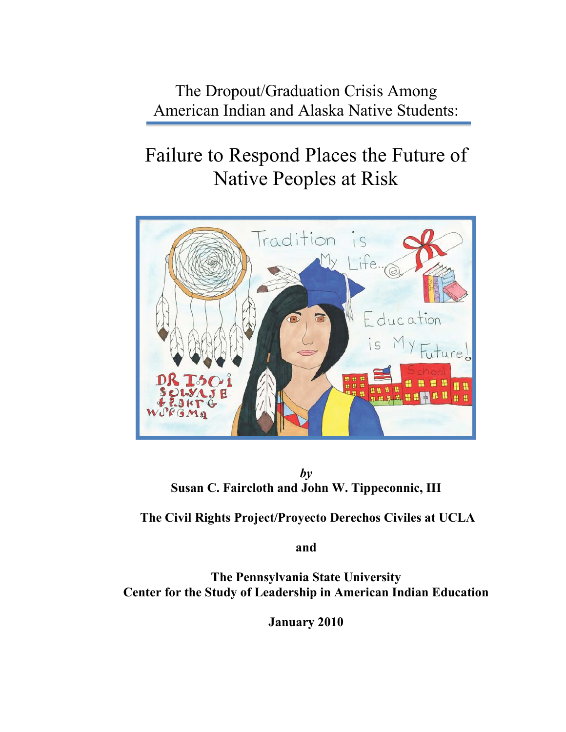The Dropout/Graduation Crisis Among American Indian and Alaska Native Students:

# Failure to Respond Places the Future of Native Peoples at Risk



*by* **Susan C. Faircloth and John W. Tippeconnic, III**

**The Civil Rights Project/Proyecto Derechos Civiles at UCLA**

**and**

**The Pennsylvania State University Center for the Study of Leadership in American Indian Education**

**January 2010**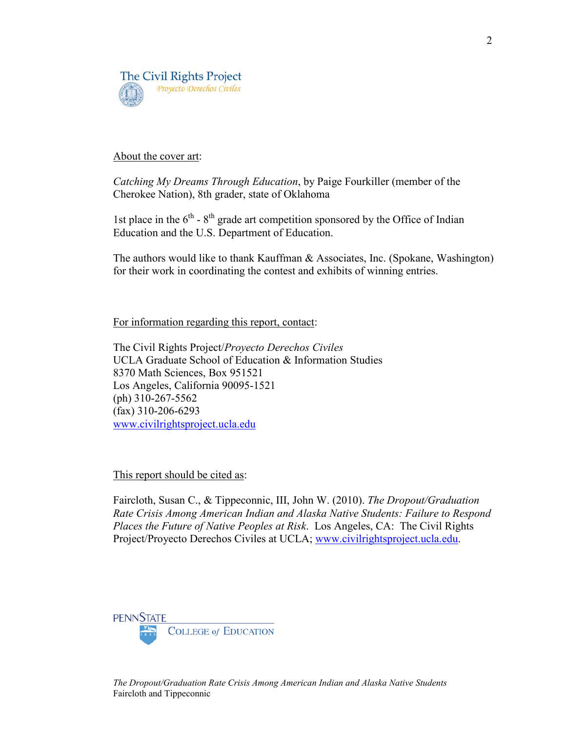

#### About the cover art:

*Catching My Dreams Through Education*, by Paige Fourkiller (member of the Cherokee Nation), 8th grader, state of Oklahoma

1st place in the  $6<sup>th</sup>$  -  $8<sup>th</sup>$  grade art competition sponsored by the Office of Indian Education and the U.S. Department of Education.

The authors would like to thank Kauffman & Associates, Inc. (Spokane, Washington) for their work in coordinating the contest and exhibits of winning entries.

For information regarding this report, contact:

The Civil Rights Project/*Proyecto Derechos Civiles* UCLA Graduate School of Education & Information Studies 8370 Math Sciences, Box 951521 Los Angeles, California 90095-1521 (ph) 310-267-5562 (fax) 310-206-6293 [www.civilrightsproject.ucla.edu](http://www.civilrightsproject.ucla.edu/%00)

This report should be cited as:

Faircloth, Susan C., & Tippeconnic, III, John W. (2010). *The Dropout/Graduation Rate Crisis Among American Indian and Alaska Native Students: Failure to Respond Places the Future of Native Peoples at Risk*. Los Angeles, CA: The Civil Rights Project/Proyecto Derechos Civiles at UCLA; [www.civilrightsproject.ucla.edu.](http://www.civilrightsproject.ucla.edu/%00)

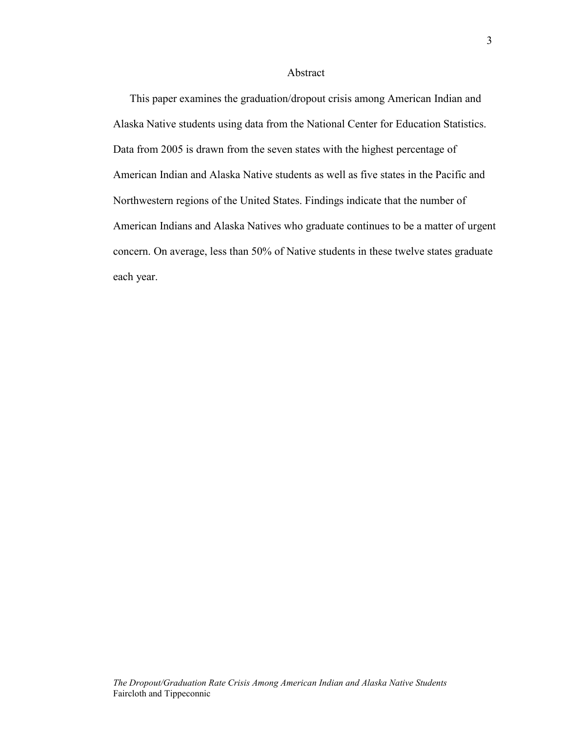#### Abstract

This paper examines the graduation/dropout crisis among American Indian and Alaska Native students using data from the National Center for Education Statistics. Data from 2005 is drawn from the seven states with the highest percentage of American Indian and Alaska Native students as well as five states in the Pacific and Northwestern regions of the United States. Findings indicate that the number of American Indians and Alaska Natives who graduate continues to be a matter of urgent concern. On average, less than 50% of Native students in these twelve states graduate each year.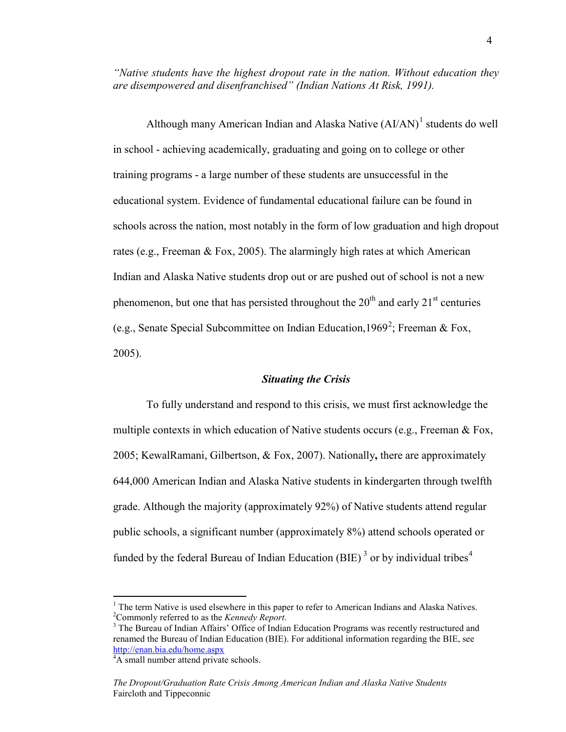*"Native students have the highest dropout rate in the nation. Without education they are disempowered and disenfranchised" (Indian Nations At Risk, 1991).*

Although many American Indian and Alaska Native  $(AI/AN)^1$  students do well in school - achieving academically, graduating and going on to college or other training programs - a large number of these students are unsuccessful in the educational system. Evidence of fundamental educational failure can be found in schools across the nation, most notably in the form of low graduation and high dropout rates (e.g., Freeman & Fox, 2005). The alarmingly high rates at which American Indian and Alaska Native students drop out or are pushed out of school is not a new phenomenon, but one that has persisted throughout the  $20<sup>th</sup>$  and early  $21<sup>st</sup>$  centuries (e.g., Senate Special Subcommittee on Indian Education, 1969<sup>2</sup>; Freeman & Fox, 2005).

#### *Situating the Crisis*

To fully understand and respond to this crisis, we must first acknowledge the multiple contexts in which education of Native students occurs (e.g., Freeman  $\&$  Fox, 2005; KewalRamani, Gilbertson, & Fox, 2007). Nationally**,** there are approximately 644,000 American Indian and Alaska Native students in kindergarten through twelfth grade. Although the majority (approximately 92%) of Native students attend regular public schools, a significant number (approximately 8%) attend schools operated or funded by the federal Bureau of Indian Education (BIE)<sup>3</sup> or by individual tribes<sup>4</sup>

<sup>&</sup>lt;sup>1</sup> The term Native is used elsewhere in this paper to refer to American Indians and Alaska Natives. <sup>2</sup>Commonly referred to as the *Kennedy Report*.

<sup>&</sup>lt;sup>3</sup> The Bureau of Indian Affairs' Office of Indian Education Programs was recently restructured and renamed the Bureau of Indian Education (BIE). For additional information regarding the BIE, see [http://enan.bia.edu/home.aspx](http://enan.bia.edu/home.aspx%00) <sup>4</sup>

<sup>&</sup>lt;sup>4</sup>A small number attend private schools.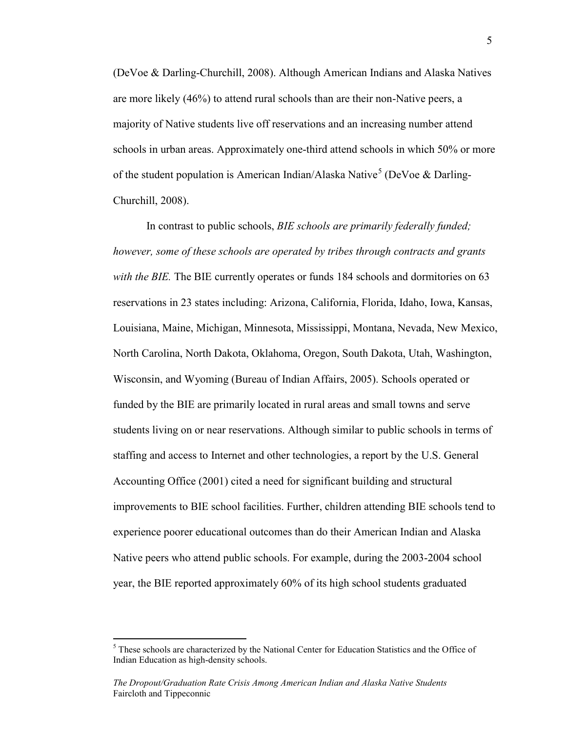(DeVoe & Darling-Churchill, 2008). Although American Indians and Alaska Natives are more likely (46%) to attend rural schools than are their non-Native peers, a majority of Native students live off reservations and an increasing number attend schools in urban areas. Approximately one-third attend schools in which 50% or more of the student population is American Indian/Alaska Native<sup>5</sup> (DeVoe & Darling-Churchill, 2008).

In contrast to public schools, *BIE schools are primarily federally funded; however, some of these schools are operated by tribes through contracts and grants with the BIE.* The BIE currently operates or funds 184 schools and dormitories on 63 reservations in 23 states including: Arizona, California, Florida, Idaho, Iowa, Kansas, Louisiana, Maine, Michigan, Minnesota, Mississippi, Montana, Nevada, New Mexico, North Carolina, North Dakota, Oklahoma, Oregon, South Dakota, Utah, Washington, Wisconsin, and Wyoming (Bureau of Indian Affairs, 2005). Schools operated or funded by the BIE are primarily located in rural areas and small towns and serve students living on or near reservations. Although similar to public schools in terms of staffing and access to Internet and other technologies, a report by the U.S. General Accounting Office (2001) cited a need for significant building and structural improvements to BIE school facilities. Further, children attending BIE schools tend to experience poorer educational outcomes than do their American Indian and Alaska Native peers who attend public schools. For example, during the 2003-2004 school year, the BIE reported approximately 60% of its high school students graduated

 $<sup>5</sup>$  These schools are characterized by the National Center for Education Statistics and the Office of</sup> Indian Education as high-density schools.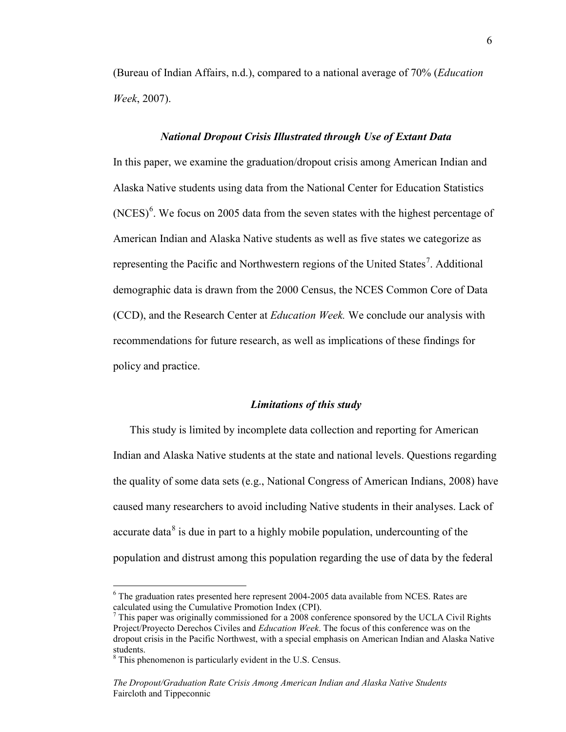(Bureau of Indian Affairs, n.d.), compared to a national average of 70% (*Education Week*, 2007).

#### *National Dropout Crisis Illustrated through Use of Extant Data*

In this paper, we examine the graduation/dropout crisis among American Indian and Alaska Native students using data from the National Center for Education Statistics  $(NCES)^6$ . We focus on 2005 data from the seven states with the highest percentage of American Indian and Alaska Native students as well as five states we categorize as representing the Pacific and Northwestern regions of the United States<sup>7</sup>. Additional demographic data is drawn from the 2000 Census, the NCES Common Core of Data (CCD), and the Research Center at *Education Week.* We conclude our analysis with recommendations for future research, as well as implications of these findings for policy and practice.

#### *Limitations of this study*

This study is limited by incomplete data collection and reporting for American Indian and Alaska Native students at the state and national levels. Questions regarding the quality of some data sets (e.g., National Congress of American Indians, 2008) have caused many researchers to avoid including Native students in their analyses. Lack of accurate data $8$  is due in part to a highly mobile population, undercounting of the population and distrust among this population regarding the use of data by the federal

 $6$  The graduation rates presented here represent 2004-2005 data available from NCES. Rates are calculated using the Cumulative Promotion Index (CPI).

 $<sup>7</sup>$  This paper was originally commissioned for a 2008 conference sponsored by the UCLA Civil Rights</sup> Project/Proyecto Derechos Civiles and *Education Week*. The focus of this conference was on the dropout crisis in the Pacific Northwest, with a special emphasis on American Indian and Alaska Native students.<br><sup>8</sup> This phenomenon is particularly evident in the U.S. Census.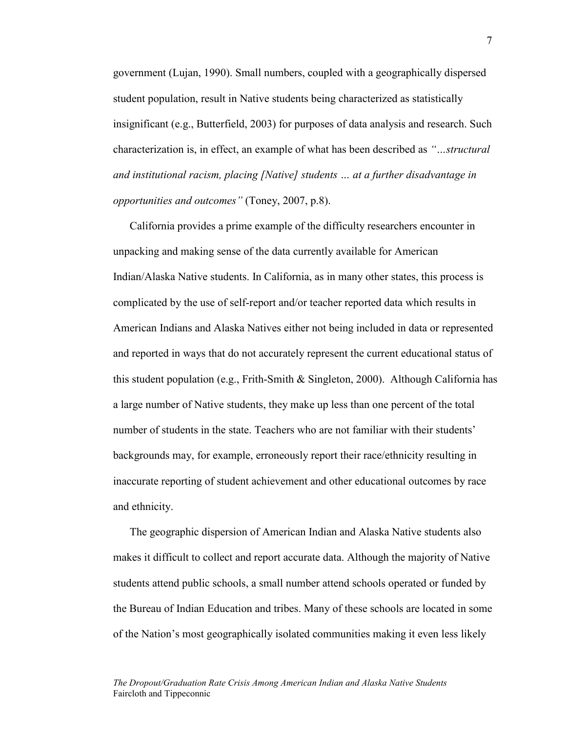government (Lujan, 1990). Small numbers, coupled with a geographically dispersed student population, result in Native students being characterized as statistically insignificant (e.g., Butterfield, 2003) for purposes of data analysis and research. Such characterization is, in effect, an example of what has been described as *"…structural and institutional racism, placing [Native] students … at a further disadvantage in opportunities and outcomes"* (Toney, 2007, p.8).

California provides a prime example of the difficulty researchers encounter in unpacking and making sense of the data currently available for American Indian/Alaska Native students. In California, as in many other states, this process is complicated by the use of self-report and/or teacher reported data which results in American Indians and Alaska Natives either not being included in data or represented and reported in ways that do not accurately represent the current educational status of this student population (e.g., Frith-Smith & Singleton, 2000). Although California has a large number of Native students, they make up less than one percent of the total number of students in the state. Teachers who are not familiar with their students' backgrounds may, for example, erroneously report their race/ethnicity resulting in inaccurate reporting of student achievement and other educational outcomes by race and ethnicity.

The geographic dispersion of American Indian and Alaska Native students also makes it difficult to collect and report accurate data. Although the majority of Native students attend public schools, a small number attend schools operated or funded by the Bureau of Indian Education and tribes. Many of these schools are located in some of the Nation's most geographically isolated communities making it even less likely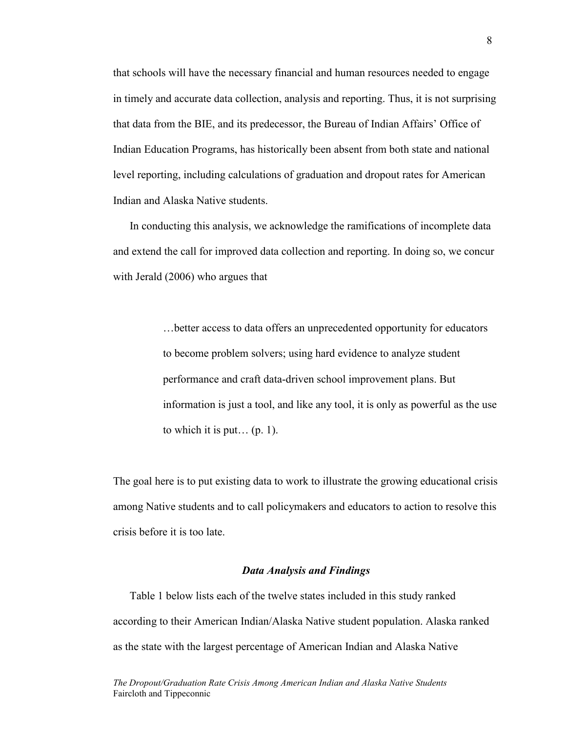that schools will have the necessary financial and human resources needed to engage in timely and accurate data collection, analysis and reporting. Thus, it is not surprising that data from the BIE, and its predecessor, the Bureau of Indian Affairs' Office of Indian Education Programs, has historically been absent from both state and national level reporting, including calculations of graduation and dropout rates for American Indian and Alaska Native students.

In conducting this analysis, we acknowledge the ramifications of incomplete data and extend the call for improved data collection and reporting. In doing so, we concur with Jerald (2006) who argues that

> …better access to data offers an unprecedented opportunity for educators to become problem solvers; using hard evidence to analyze student performance and craft data-driven school improvement plans. But information is just a tool, and like any tool, it is only as powerful as the use to which it is put...  $(p, 1)$ .

The goal here is to put existing data to work to illustrate the growing educational crisis among Native students and to call policymakers and educators to action to resolve this crisis before it is too late.

#### *Data Analysis and Findings*

Table 1 below lists each of the twelve states included in this study ranked according to their American Indian/Alaska Native student population. Alaska ranked as the state with the largest percentage of American Indian and Alaska Native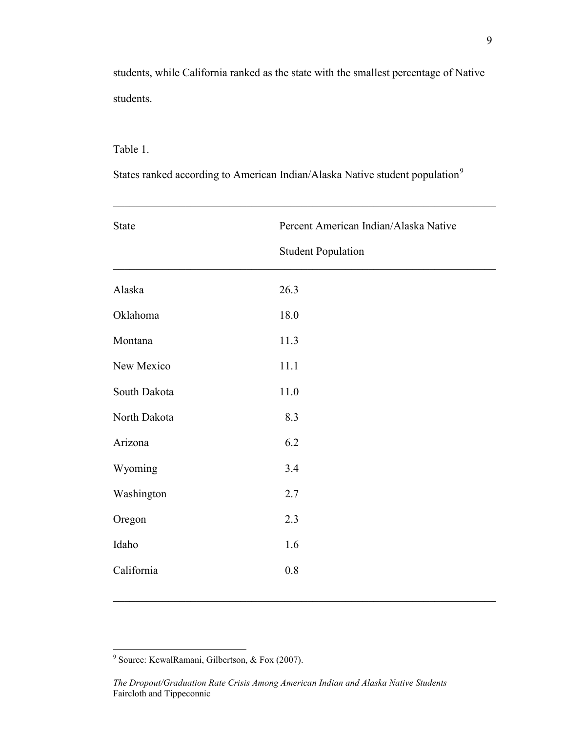students, while California ranked as the state with the smallest percentage of Native students.

# Table 1.

States ranked according to American Indian/Alaska Native student population<sup>9</sup>

 $\mathcal{L}_\mathcal{L} = \mathcal{L}_\mathcal{L} = \mathcal{L}_\mathcal{L} = \mathcal{L}_\mathcal{L} = \mathcal{L}_\mathcal{L} = \mathcal{L}_\mathcal{L} = \mathcal{L}_\mathcal{L} = \mathcal{L}_\mathcal{L} = \mathcal{L}_\mathcal{L} = \mathcal{L}_\mathcal{L} = \mathcal{L}_\mathcal{L} = \mathcal{L}_\mathcal{L} = \mathcal{L}_\mathcal{L} = \mathcal{L}_\mathcal{L} = \mathcal{L}_\mathcal{L} = \mathcal{L}_\mathcal{L} = \mathcal{L}_\mathcal{L}$ 

| State        | Percent American Indian/Alaska Native |  |
|--------------|---------------------------------------|--|
|              | <b>Student Population</b>             |  |
| Alaska       | 26.3                                  |  |
| Oklahoma     | 18.0                                  |  |
| Montana      | 11.3                                  |  |
| New Mexico   | 11.1                                  |  |
| South Dakota | 11.0                                  |  |
| North Dakota | 8.3                                   |  |
| Arizona      | 6.2                                   |  |
| Wyoming      | 3.4                                   |  |
| Washington   | 2.7                                   |  |
| Oregon       | 2.3                                   |  |
| Idaho        | 1.6                                   |  |
| California   | $0.8\,$                               |  |

<sup>&</sup>lt;sup>9</sup> Source: KewalRamani, Gilbertson, & Fox (2007).

*The Dropout/Graduation Rate Crisis Among American Indian and Alaska Native Students* Faircloth and Tippeconnic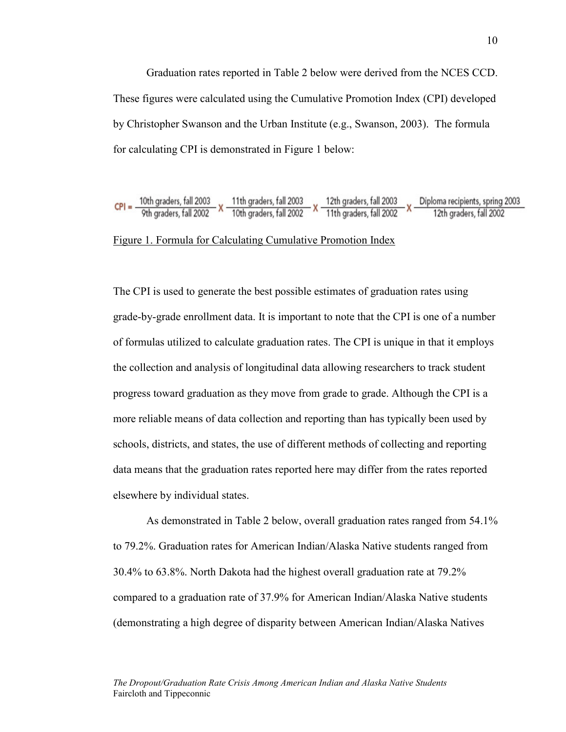Graduation rates reported in Table 2 below were derived from the NCES CCD. These figures were calculated using the Cumulative Promotion Index (CPI) developed by Christopher Swanson and the Urban Institute (e.g., Swanson, 2003). The formula for calculating CPI is demonstrated in Figure 1 below:



# Figure 1. Formula for Calculating Cumulative Promotion Index

The CPI is used to generate the best possible estimates of graduation rates using grade-by-grade enrollment data. It is important to note that the CPI is one of a number of formulas utilized to calculate graduation rates. The CPI is unique in that it employs the collection and analysis of longitudinal data allowing researchers to track student progress toward graduation as they move from grade to grade. Although the CPI is a more reliable means of data collection and reporting than has typically been used by schools, districts, and states, the use of different methods of collecting and reporting data means that the graduation rates reported here may differ from the rates reported elsewhere by individual states.

As demonstrated in Table 2 below, overall graduation rates ranged from 54.1% to 79.2%. Graduation rates for American Indian/Alaska Native students ranged from 30.4% to 63.8%. North Dakota had the highest overall graduation rate at 79.2% compared to a graduation rate of 37.9% for American Indian/Alaska Native students (demonstrating a high degree of disparity between American Indian/Alaska Natives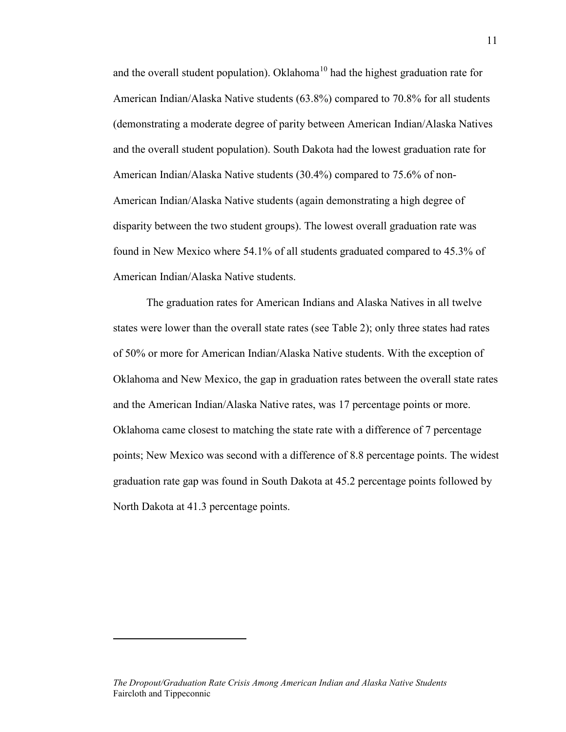and the overall student population). Oklahoma<sup>10</sup> had the highest graduation rate for American Indian/Alaska Native students (63.8%) compared to 70.8% for all students (demonstrating a moderate degree of parity between American Indian/Alaska Natives and the overall student population). South Dakota had the lowest graduation rate for American Indian/Alaska Native students (30.4%) compared to 75.6% of non-American Indian/Alaska Native students (again demonstrating a high degree of disparity between the two student groups). The lowest overall graduation rate was found in New Mexico where 54.1% of all students graduated compared to 45.3% of American Indian/Alaska Native students.

The graduation rates for American Indians and Alaska Natives in all twelve states were lower than the overall state rates (see Table 2); only three states had rates of 50% or more for American Indian/Alaska Native students. With the exception of Oklahoma and New Mexico, the gap in graduation rates between the overall state rates and the American Indian/Alaska Native rates, was 17 percentage points or more. Oklahoma came closest to matching the state rate with a difference of 7 percentage points; New Mexico was second with a difference of 8.8 percentage points. The widest graduation rate gap was found in South Dakota at 45.2 percentage points followed by North Dakota at 41.3 percentage points.

 $\overline{a}$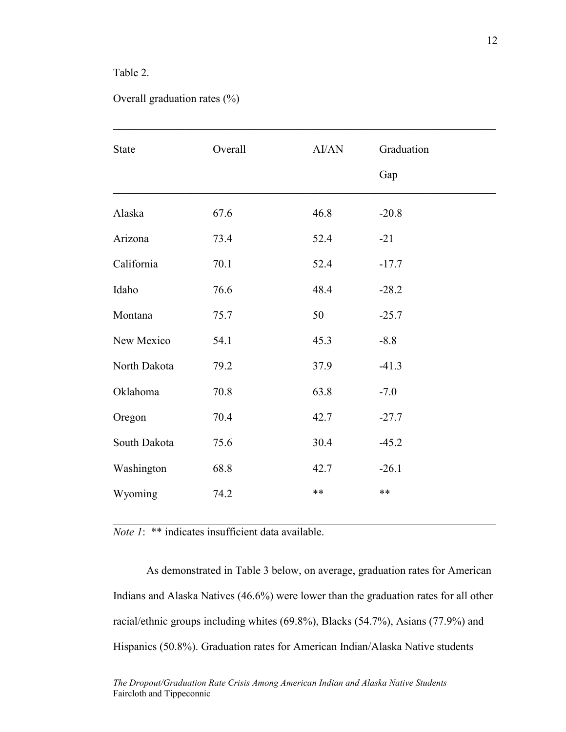# Table 2.

|  | Overall graduation rates $(\% )$ |  |
|--|----------------------------------|--|
|--|----------------------------------|--|

| <b>State</b> | Overall | AI/AN | Graduation<br>Gap |
|--------------|---------|-------|-------------------|
| Alaska       | 67.6    | 46.8  | $-20.8$           |
| Arizona      | 73.4    | 52.4  | $-21$             |
| California   | 70.1    | 52.4  | $-17.7$           |
| Idaho        | 76.6    | 48.4  | $-28.2$           |
| Montana      | 75.7    | 50    | $-25.7$           |
| New Mexico   | 54.1    | 45.3  | $-8.8$            |
| North Dakota | 79.2    | 37.9  | $-41.3$           |
| Oklahoma     | 70.8    | 63.8  | $-7.0$            |
| Oregon       | 70.4    | 42.7  | $-27.7$           |
| South Dakota | 75.6    | 30.4  | $-45.2$           |
| Washington   | 68.8    | 42.7  | $-26.1$           |
| Wyoming      | 74.2    | $***$ | $***$             |

 $\mathcal{L}_\mathcal{L} = \mathcal{L}_\mathcal{L} = \mathcal{L}_\mathcal{L} = \mathcal{L}_\mathcal{L} = \mathcal{L}_\mathcal{L} = \mathcal{L}_\mathcal{L} = \mathcal{L}_\mathcal{L} = \mathcal{L}_\mathcal{L} = \mathcal{L}_\mathcal{L} = \mathcal{L}_\mathcal{L} = \mathcal{L}_\mathcal{L} = \mathcal{L}_\mathcal{L} = \mathcal{L}_\mathcal{L} = \mathcal{L}_\mathcal{L} = \mathcal{L}_\mathcal{L} = \mathcal{L}_\mathcal{L} = \mathcal{L}_\mathcal{L}$ 

*Note 1*: \*\* indicates insufficient data available.

As demonstrated in Table 3 below, on average, graduation rates for American Indians and Alaska Natives (46.6%) were lower than the graduation rates for all other racial/ethnic groups including whites (69.8%), Blacks (54.7%), Asians (77.9%) and Hispanics (50.8%). Graduation rates for American Indian/Alaska Native students

 $\mathcal{L}_\mathcal{L} = \mathcal{L}_\mathcal{L} = \mathcal{L}_\mathcal{L} = \mathcal{L}_\mathcal{L} = \mathcal{L}_\mathcal{L} = \mathcal{L}_\mathcal{L} = \mathcal{L}_\mathcal{L} = \mathcal{L}_\mathcal{L} = \mathcal{L}_\mathcal{L} = \mathcal{L}_\mathcal{L} = \mathcal{L}_\mathcal{L} = \mathcal{L}_\mathcal{L} = \mathcal{L}_\mathcal{L} = \mathcal{L}_\mathcal{L} = \mathcal{L}_\mathcal{L} = \mathcal{L}_\mathcal{L} = \mathcal{L}_\mathcal{L}$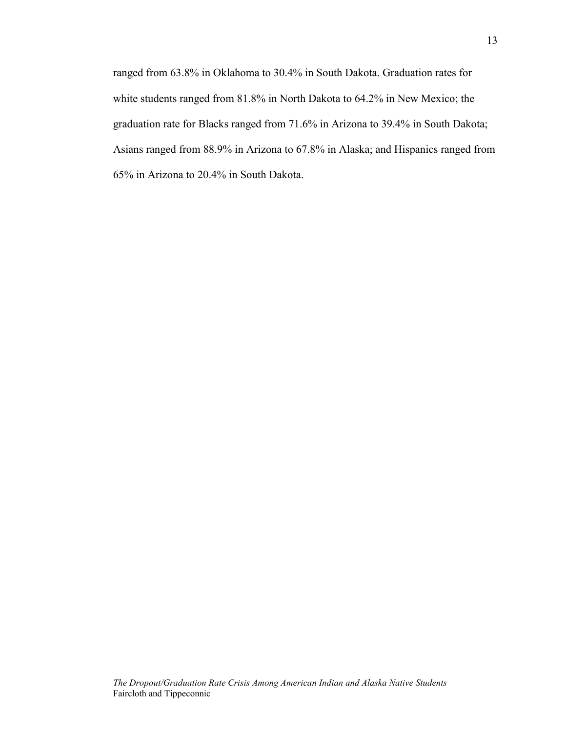ranged from 63.8% in Oklahoma to 30.4% in South Dakota. Graduation rates for white students ranged from 81.8% in North Dakota to 64.2% in New Mexico; the graduation rate for Blacks ranged from 71.6% in Arizona to 39.4% in South Dakota; Asians ranged from 88.9% in Arizona to 67.8% in Alaska; and Hispanics ranged from 65% in Arizona to 20.4% in South Dakota.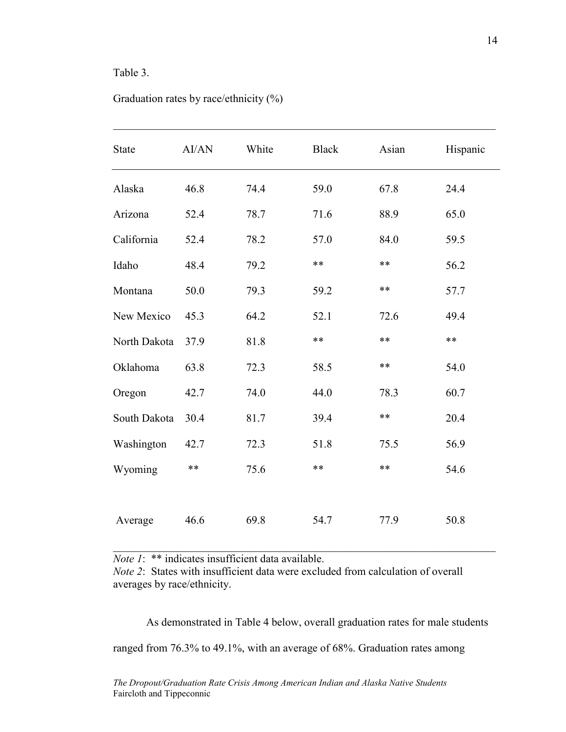# Table 3.

| <b>State</b> | AI/AN | White | <b>Black</b> | Asian | Hispanic |
|--------------|-------|-------|--------------|-------|----------|
| Alaska       | 46.8  | 74.4  | 59.0         | 67.8  | 24.4     |
| Arizona      | 52.4  | 78.7  | 71.6         | 88.9  | 65.0     |
| California   | 52.4  | 78.2  | 57.0         | 84.0  | 59.5     |
| Idaho        | 48.4  | 79.2  | $***$        | $***$ | 56.2     |
| Montana      | 50.0  | 79.3  | 59.2         | $***$ | 57.7     |
| New Mexico   | 45.3  | 64.2  | 52.1         | 72.6  | 49.4     |
| North Dakota | 37.9  | 81.8  | $***$        | $**$  | $**$     |
| Oklahoma     | 63.8  | 72.3  | 58.5         | $***$ | 54.0     |
| Oregon       | 42.7  | 74.0  | 44.0         | 78.3  | 60.7     |
| South Dakota | 30.4  | 81.7  | 39.4         | $***$ | 20.4     |
| Washington   | 42.7  | 72.3  | 51.8         | 75.5  | 56.9     |
| Wyoming      | **    | 75.6  | $***$        | $***$ | 54.6     |
|              |       |       |              |       |          |
| Average      | 46.6  | 69.8  | 54.7         | 77.9  | 50.8     |

 $\mathcal{L}_\mathcal{L} = \mathcal{L}_\mathcal{L} = \mathcal{L}_\mathcal{L} = \mathcal{L}_\mathcal{L} = \mathcal{L}_\mathcal{L} = \mathcal{L}_\mathcal{L} = \mathcal{L}_\mathcal{L} = \mathcal{L}_\mathcal{L} = \mathcal{L}_\mathcal{L} = \mathcal{L}_\mathcal{L} = \mathcal{L}_\mathcal{L} = \mathcal{L}_\mathcal{L} = \mathcal{L}_\mathcal{L} = \mathcal{L}_\mathcal{L} = \mathcal{L}_\mathcal{L} = \mathcal{L}_\mathcal{L} = \mathcal{L}_\mathcal{L}$ 

# Graduation rates by race/ethnicity (%)

*Note 1*: \*\* indicates insufficient data available.

*Note 2*: States with insufficient data were excluded from calculation of overall averages by race/ethnicity.

As demonstrated in Table 4 below, overall graduation rates for male students ranged from 76.3% to 49.1%, with an average of 68%. Graduation rates among

 $\mathcal{L}_\text{max} = \frac{1}{2} \sum_{i=1}^n \mathcal{L}_\text{max}(\mathbf{z}_i - \mathbf{z}_i)$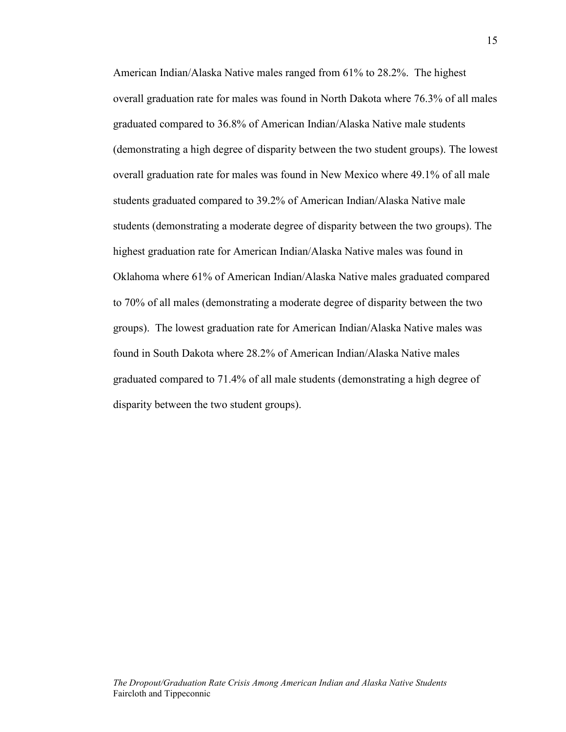American Indian/Alaska Native males ranged from 61% to 28.2%. The highest overall graduation rate for males was found in North Dakota where 76.3% of all males graduated compared to 36.8% of American Indian/Alaska Native male students (demonstrating a high degree of disparity between the two student groups). The lowest overall graduation rate for males was found in New Mexico where 49.1% of all male students graduated compared to 39.2% of American Indian/Alaska Native male students (demonstrating a moderate degree of disparity between the two groups). The highest graduation rate for American Indian/Alaska Native males was found in Oklahoma where 61% of American Indian/Alaska Native males graduated compared to 70% of all males (demonstrating a moderate degree of disparity between the two groups). The lowest graduation rate for American Indian/Alaska Native males was found in South Dakota where 28.2% of American Indian/Alaska Native males graduated compared to 71.4% of all male students (demonstrating a high degree of disparity between the two student groups).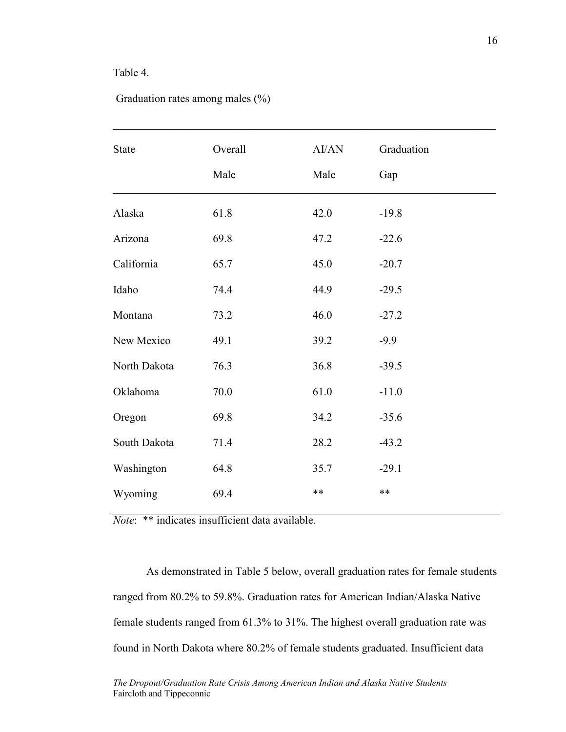### Table 4.

|  | Graduation rates among males $(\%)$ |  |  |  |  |
|--|-------------------------------------|--|--|--|--|
|--|-------------------------------------|--|--|--|--|

| <b>State</b> | Overall | AI/AN | Graduation |
|--------------|---------|-------|------------|
|              | Male    | Male  | Gap        |
| Alaska       | 61.8    | 42.0  | $-19.8$    |
| Arizona      | 69.8    | 47.2  | $-22.6$    |
| California   | 65.7    | 45.0  | $-20.7$    |
| Idaho        | 74.4    | 44.9  | $-29.5$    |
| Montana      | 73.2    | 46.0  | $-27.2$    |
| New Mexico   | 49.1    | 39.2  | $-9.9$     |
| North Dakota | 76.3    | 36.8  | $-39.5$    |
| Oklahoma     | 70.0    | 61.0  | $-11.0$    |
| Oregon       | 69.8    | 34.2  | $-35.6$    |
| South Dakota | 71.4    | 28.2  | $-43.2$    |
| Washington   | 64.8    | 35.7  | $-29.1$    |
| Wyoming      | 69.4    | $***$ | $***$      |

 $\mathcal{L}_\mathcal{L} = \mathcal{L}_\mathcal{L} = \mathcal{L}_\mathcal{L} = \mathcal{L}_\mathcal{L} = \mathcal{L}_\mathcal{L} = \mathcal{L}_\mathcal{L} = \mathcal{L}_\mathcal{L} = \mathcal{L}_\mathcal{L} = \mathcal{L}_\mathcal{L} = \mathcal{L}_\mathcal{L} = \mathcal{L}_\mathcal{L} = \mathcal{L}_\mathcal{L} = \mathcal{L}_\mathcal{L} = \mathcal{L}_\mathcal{L} = \mathcal{L}_\mathcal{L} = \mathcal{L}_\mathcal{L} = \mathcal{L}_\mathcal{L}$ 

*Note*: \*\* indicates insufficient data available.

As demonstrated in Table 5 below, overall graduation rates for female students ranged from 80.2% to 59.8%. Graduation rates for American Indian/Alaska Native female students ranged from 61.3% to 31%. The highest overall graduation rate was found in North Dakota where 80.2% of female students graduated. Insufficient data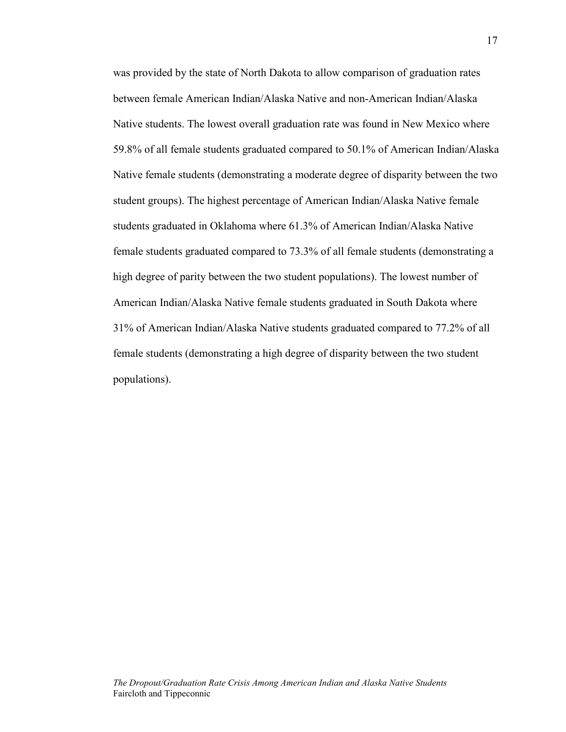was provided by the state of North Dakota to allow comparison of graduation rates between female American Indian/Alaska Native and non-American Indian/Alaska Native students. The lowest overall graduation rate was found in New Mexico where 59.8% of all female students graduated compared to 50.1% of American Indian/Alaska Native female students (demonstrating a moderate degree of disparity between the two student groups). The highest percentage of American Indian/Alaska Native female students graduated in Oklahoma where 61.3% of American Indian/Alaska Native female students graduated compared to 73.3% of all female students (demonstrating a high degree of parity between the two student populations). The lowest number of American Indian/Alaska Native female students graduated in South Dakota where 31% of American Indian/Alaska Native students graduated compared to 77.2% of all female students (demonstrating a high degree of disparity between the two student populations).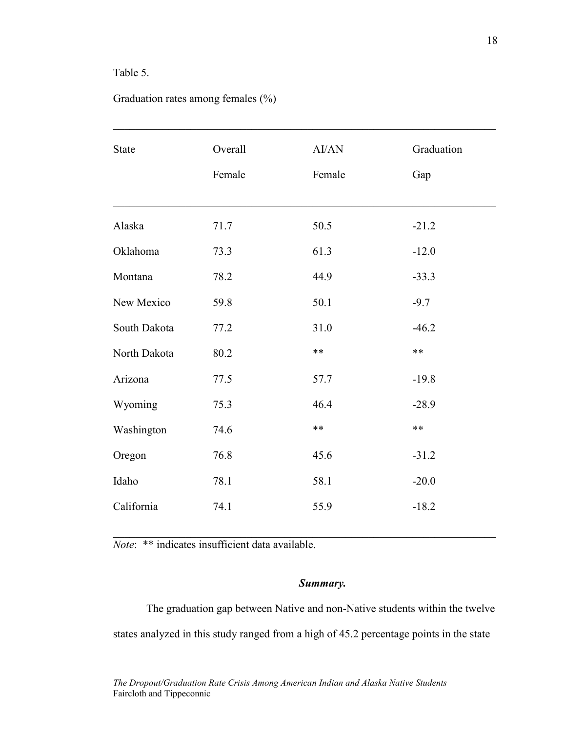# Table 5.

# Graduation rates among females (%)

| <b>State</b> | Overall<br>Female | AI/AN<br>Female | Graduation<br>Gap |
|--------------|-------------------|-----------------|-------------------|
| Alaska       | 71.7              | 50.5            | $-21.2$           |
| Oklahoma     | 73.3              | 61.3            | $-12.0$           |
| Montana      | 78.2              | 44.9            | $-33.3$           |
| New Mexico   | 59.8              | 50.1            | $-9.7$            |
| South Dakota | 77.2              | 31.0            | $-46.2$           |
| North Dakota | 80.2              | $***$           | $***$             |
| Arizona      | 77.5              | 57.7            | $-19.8$           |
| Wyoming      | 75.3              | 46.4            | $-28.9$           |
| Washington   | 74.6              | $***$           | $***$             |
| Oregon       | 76.8              | 45.6            | $-31.2$           |
| Idaho        | 78.1              | 58.1            | $-20.0$           |
| California   | 74.1              | 55.9            | $-18.2$           |

*Note*: \*\* indicates insufficient data available.

### *Summary.*

The graduation gap between Native and non-Native students within the twelve states analyzed in this study ranged from a high of 45.2 percentage points in the state

 $\mathcal{L}_\text{max} = \frac{1}{2} \sum_{i=1}^n \mathcal{L}_\text{max}(\mathbf{z}_i - \mathbf{z}_i)$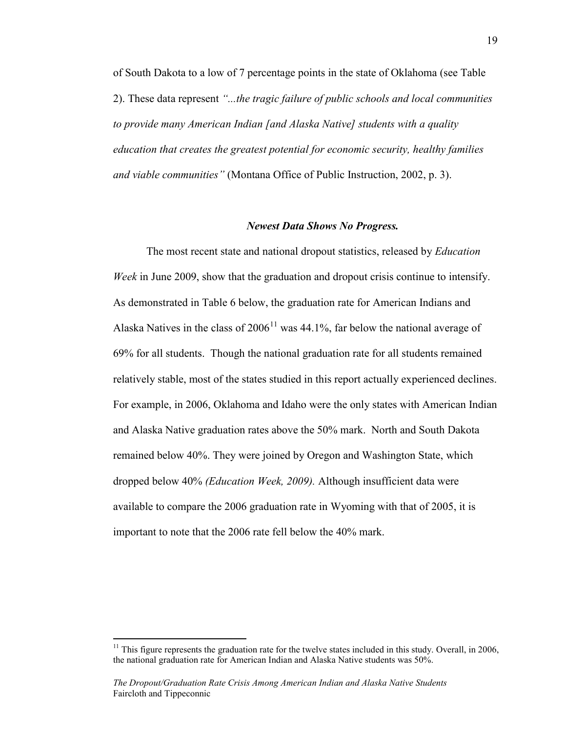of South Dakota to a low of 7 percentage points in the state of Oklahoma (see Table 2). These data represent *"...the tragic failure of public schools and local communities to provide many American Indian [and Alaska Native] students with a quality education that creates the greatest potential for economic security, healthy families and viable communities"* (Montana Office of Public Instruction, 2002, p. 3).

#### *Newest Data Shows No Progress.*

The most recent state and national dropout statistics, released by *Education Week* in June 2009, show that the graduation and dropout crisis continue to intensify. As demonstrated in Table 6 below, the graduation rate for American Indians and Alaska Natives in the class of  $2006<sup>11</sup>$  was 44.1%, far below the national average of 69% for all students. Though the national graduation rate for all students remained relatively stable, most of the states studied in this report actually experienced declines. For example, in 2006, Oklahoma and Idaho were the only states with American Indian and Alaska Native graduation rates above the 50% mark. North and South Dakota remained below 40%. They were joined by Oregon and Washington State, which dropped below 40% *(Education Week, 2009).* Although insufficient data were available to compare the 2006 graduation rate in Wyoming with that of 2005, it is important to note that the 2006 rate fell below the 40% mark.

 $11$  This figure represents the graduation rate for the twelve states included in this study. Overall, in 2006, the national graduation rate for American Indian and Alaska Native students was 50%.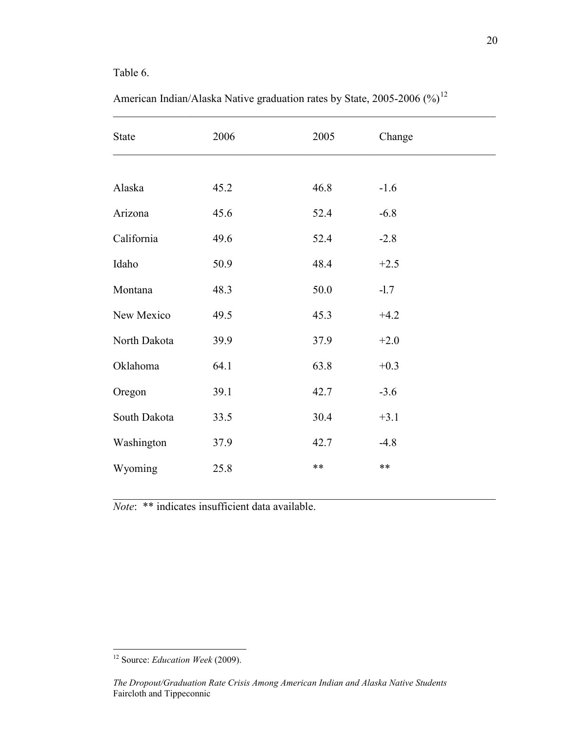# Table 6.

| State        | 2006 | 2005  | Change |  |
|--------------|------|-------|--------|--|
|              |      |       |        |  |
| Alaska       | 45.2 | 46.8  | $-1.6$ |  |
| Arizona      | 45.6 | 52.4  | $-6.8$ |  |
| California   | 49.6 | 52.4  | $-2.8$ |  |
| Idaho        | 50.9 | 48.4  | $+2.5$ |  |
| Montana      | 48.3 | 50.0  | $-1.7$ |  |
| New Mexico   | 49.5 | 45.3  | $+4.2$ |  |
| North Dakota | 39.9 | 37.9  | $+2.0$ |  |
| Oklahoma     | 64.1 | 63.8  | $+0.3$ |  |
| Oregon       | 39.1 | 42.7  | $-3.6$ |  |
| South Dakota | 33.5 | 30.4  | $+3.1$ |  |
| Washington   | 37.9 | 42.7  | $-4.8$ |  |
| Wyoming      | 25.8 | $***$ | $***$  |  |

 $\mathcal{L}_\mathcal{L} = \mathcal{L}_\mathcal{L} = \mathcal{L}_\mathcal{L} = \mathcal{L}_\mathcal{L} = \mathcal{L}_\mathcal{L} = \mathcal{L}_\mathcal{L} = \mathcal{L}_\mathcal{L} = \mathcal{L}_\mathcal{L} = \mathcal{L}_\mathcal{L} = \mathcal{L}_\mathcal{L} = \mathcal{L}_\mathcal{L} = \mathcal{L}_\mathcal{L} = \mathcal{L}_\mathcal{L} = \mathcal{L}_\mathcal{L} = \mathcal{L}_\mathcal{L} = \mathcal{L}_\mathcal{L} = \mathcal{L}_\mathcal{L}$ 

American Indian/Alaska Native graduation rates by State, 2005-2006  $(\%)^{12}$ 

*Note*: \*\* indicates insufficient data available.

 <sup>12</sup> Source: *Education Week* (2009).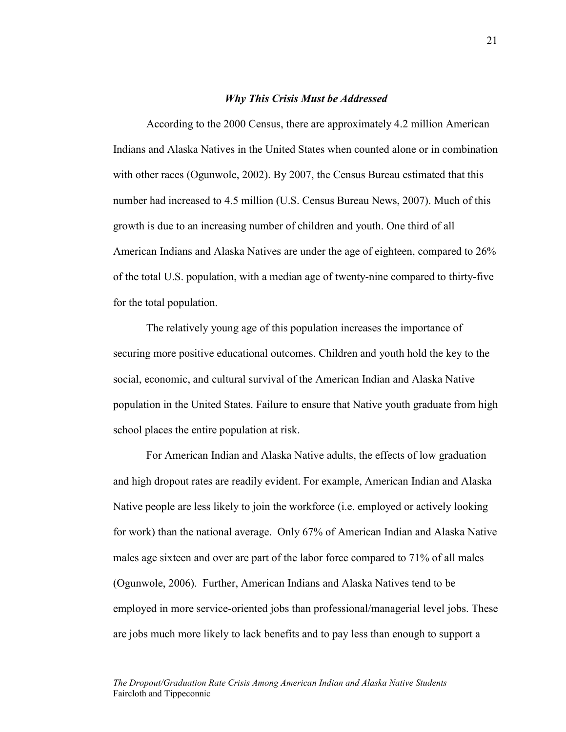#### *Why This Crisis Must be Addressed*

According to the 2000 Census, there are approximately 4.2 million American Indians and Alaska Natives in the United States when counted alone or in combination with other races (Ogunwole, 2002). By 2007, the Census Bureau estimated that this number had increased to 4.5 million (U.S. Census Bureau News, 2007). Much of this growth is due to an increasing number of children and youth. One third of all American Indians and Alaska Natives are under the age of eighteen, compared to 26% of the total U.S. population, with a median age of twenty-nine compared to thirty-five for the total population.

The relatively young age of this population increases the importance of securing more positive educational outcomes. Children and youth hold the key to the social, economic, and cultural survival of the American Indian and Alaska Native population in the United States. Failure to ensure that Native youth graduate from high school places the entire population at risk.

For American Indian and Alaska Native adults, the effects of low graduation and high dropout rates are readily evident. For example, American Indian and Alaska Native people are less likely to join the workforce (i.e. employed or actively looking for work) than the national average. Only 67% of American Indian and Alaska Native males age sixteen and over are part of the labor force compared to 71% of all males (Ogunwole, 2006). Further, American Indians and Alaska Natives tend to be employed in more service-oriented jobs than professional/managerial level jobs. These are jobs much more likely to lack benefits and to pay less than enough to support a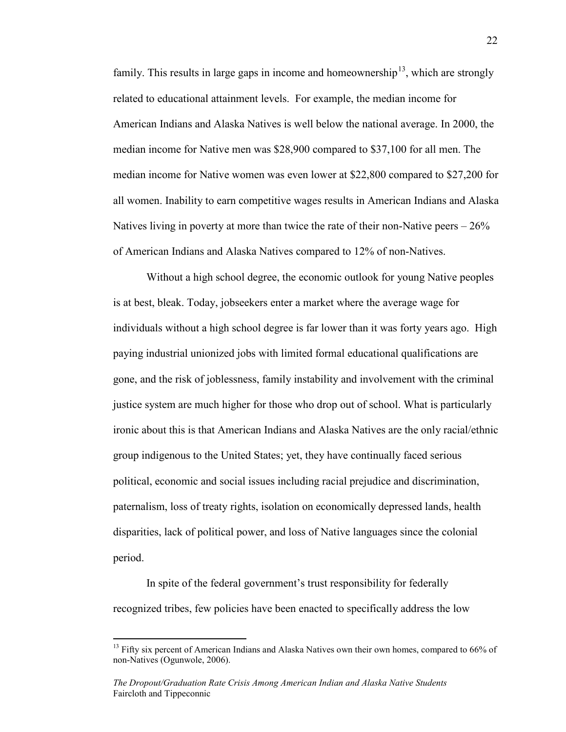family. This results in large gaps in income and homeownership<sup>13</sup>, which are strongly related to educational attainment levels. For example, the median income for American Indians and Alaska Natives is well below the national average. In 2000, the median income for Native men was \$28,900 compared to \$37,100 for all men. The median income for Native women was even lower at \$22,800 compared to \$27,200 for all women. Inability to earn competitive wages results in American Indians and Alaska Natives living in poverty at more than twice the rate of their non-Native peers  $-26\%$ of American Indians and Alaska Natives compared to 12% of non-Natives.

Without a high school degree, the economic outlook for young Native peoples is at best, bleak. Today, jobseekers enter a market where the average wage for individuals without a high school degree is far lower than it was forty years ago. High paying industrial unionized jobs with limited formal educational qualifications are gone, and the risk of joblessness, family instability and involvement with the criminal justice system are much higher for those who drop out of school. What is particularly ironic about this is that American Indians and Alaska Natives are the only racial/ethnic group indigenous to the United States; yet, they have continually faced serious political, economic and social issues including racial prejudice and discrimination, paternalism, loss of treaty rights, isolation on economically depressed lands, health disparities, lack of political power, and loss of Native languages since the colonial period.

In spite of the federal government's trust responsibility for federally recognized tribes, few policies have been enacted to specifically address the low

 $13$  Fifty six percent of American Indians and Alaska Natives own their own homes, compared to 66% of non-Natives (Ogunwole, 2006).

*The Dropout/Graduation Rate Crisis Among American Indian and Alaska Native Students* Faircloth and Tippeconnic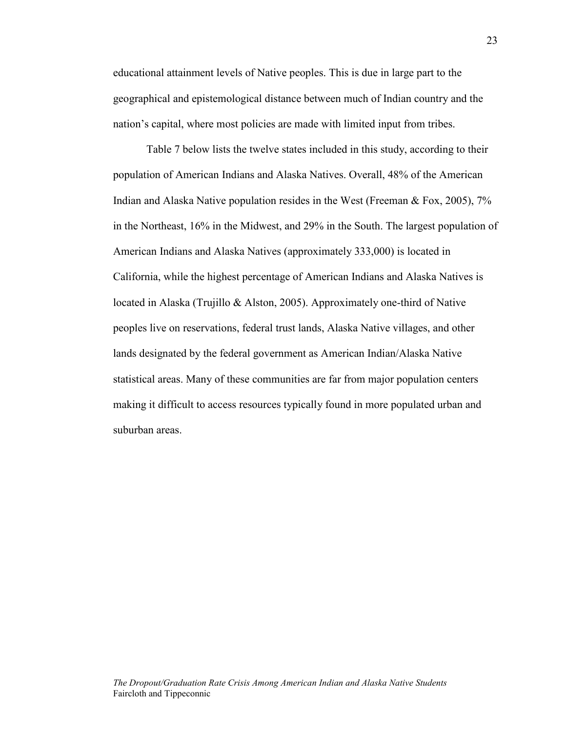educational attainment levels of Native peoples. This is due in large part to the geographical and epistemological distance between much of Indian country and the nation's capital, where most policies are made with limited input from tribes.

Table 7 below lists the twelve states included in this study, according to their population of American Indians and Alaska Natives. Overall, 48% of the American Indian and Alaska Native population resides in the West (Freeman  $\&$  Fox, 2005), 7% in the Northeast, 16% in the Midwest, and 29% in the South. The largest population of American Indians and Alaska Natives (approximately 333,000) is located in California, while the highest percentage of American Indians and Alaska Natives is located in Alaska (Trujillo & Alston, 2005). Approximately one-third of Native peoples live on reservations, federal trust lands, Alaska Native villages, and other lands designated by the federal government as American Indian/Alaska Native statistical areas. Many of these communities are far from major population centers making it difficult to access resources typically found in more populated urban and suburban areas.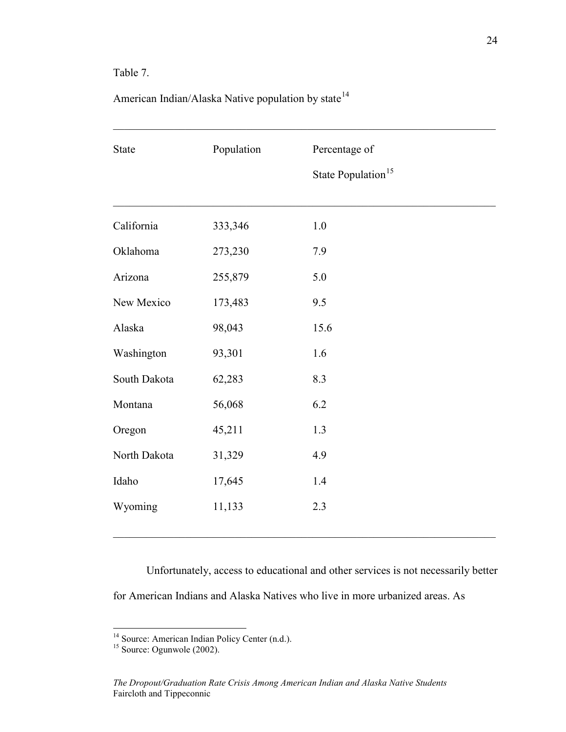# Table 7.

| <b>State</b> | Population | Percentage of<br>State Population <sup>15</sup> |  |
|--------------|------------|-------------------------------------------------|--|
| California   | 333,346    | $1.0\,$                                         |  |
| Oklahoma     | 273,230    | 7.9                                             |  |
| Arizona      | 255,879    | 5.0                                             |  |
| New Mexico   | 173,483    | 9.5                                             |  |
| Alaska       | 98,043     | 15.6                                            |  |
| Washington   | 93,301     | 1.6                                             |  |
| South Dakota | 62,283     | 8.3                                             |  |
| Montana      | 56,068     | 6.2                                             |  |
| Oregon       | 45,211     | 1.3                                             |  |
| North Dakota | 31,329     | 4.9                                             |  |
| Idaho        | 17,645     | 1.4                                             |  |
| Wyoming      | 11,133     | 2.3                                             |  |

American Indian/Alaska Native population by state $14$ 

Unfortunately, access to educational and other services is not necessarily better for American Indians and Alaska Natives who live in more urbanized areas. As

 $\mathcal{L}_\text{max} = \frac{1}{2} \sum_{i=1}^n \mathcal{L}_\text{max}(\mathbf{z}_i - \mathbf{z}_i)$ 

<sup>&</sup>lt;sup>14</sup> Source: American Indian Policy Center (n.d.).<sup>15</sup> Source: Ogunwole (2002).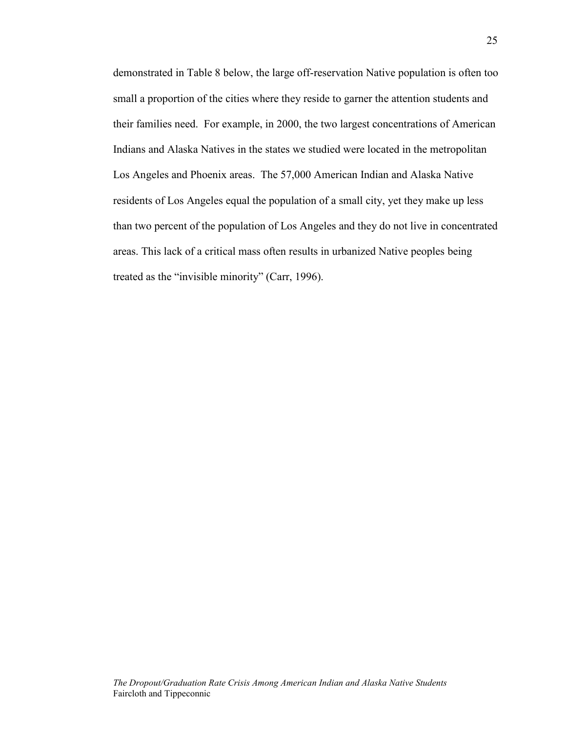demonstrated in Table 8 below, the large off-reservation Native population is often too small a proportion of the cities where they reside to garner the attention students and their families need. For example, in 2000, the two largest concentrations of American Indians and Alaska Natives in the states we studied were located in the metropolitan Los Angeles and Phoenix areas. The 57,000 American Indian and Alaska Native residents of Los Angeles equal the population of a small city, yet they make up less than two percent of the population of Los Angeles and they do not live in concentrated areas. This lack of a critical mass often results in urbanized Native peoples being treated as the "invisible minority" (Carr, 1996).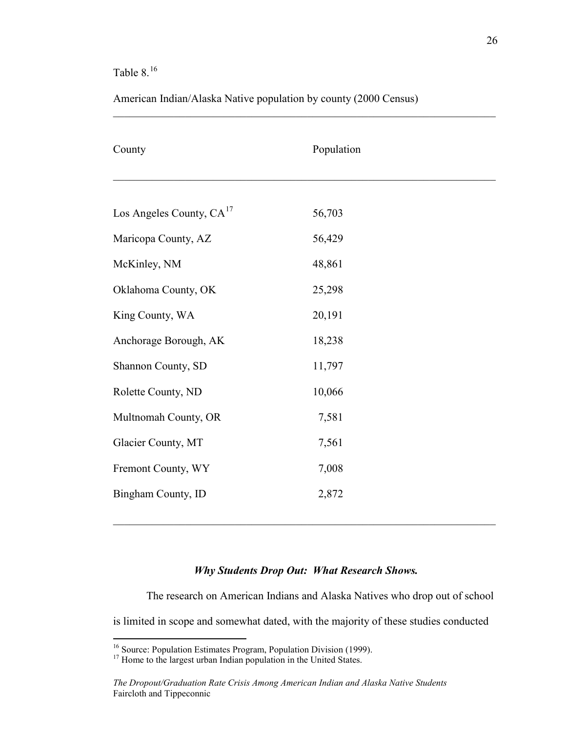# Table  $8.^{16}$

American Indian/Alaska Native population by county (2000 Census)

 $\mathcal{L}_\mathcal{L} = \mathcal{L}_\mathcal{L} = \mathcal{L}_\mathcal{L} = \mathcal{L}_\mathcal{L} = \mathcal{L}_\mathcal{L} = \mathcal{L}_\mathcal{L} = \mathcal{L}_\mathcal{L} = \mathcal{L}_\mathcal{L} = \mathcal{L}_\mathcal{L} = \mathcal{L}_\mathcal{L} = \mathcal{L}_\mathcal{L} = \mathcal{L}_\mathcal{L} = \mathcal{L}_\mathcal{L} = \mathcal{L}_\mathcal{L} = \mathcal{L}_\mathcal{L} = \mathcal{L}_\mathcal{L} = \mathcal{L}_\mathcal{L}$ 

| County                               | Population |
|--------------------------------------|------------|
|                                      |            |
| Los Angeles County, CA <sup>17</sup> | 56,703     |
| Maricopa County, AZ                  | 56,429     |
| McKinley, NM                         | 48,861     |
| Oklahoma County, OK                  | 25,298     |
| King County, WA                      | 20,191     |
| Anchorage Borough, AK                | 18,238     |
| Shannon County, SD                   | 11,797     |
| Rolette County, ND                   | 10,066     |
| Multnomah County, OR                 | 7,581      |
| Glacier County, MT                   | 7,561      |
| Fremont County, WY                   | 7,008      |
| Bingham County, ID                   | 2,872      |
|                                      |            |

# *Why Students Drop Out: What Research Shows.*

The research on American Indians and Alaska Natives who drop out of school is limited in scope and somewhat dated, with the majority of these studies conducted

<sup>&</sup>lt;sup>16</sup> Source: Population Estimates Program, Population Division (1999).<br><sup>17</sup> Home to the largest urban Indian population in the United States.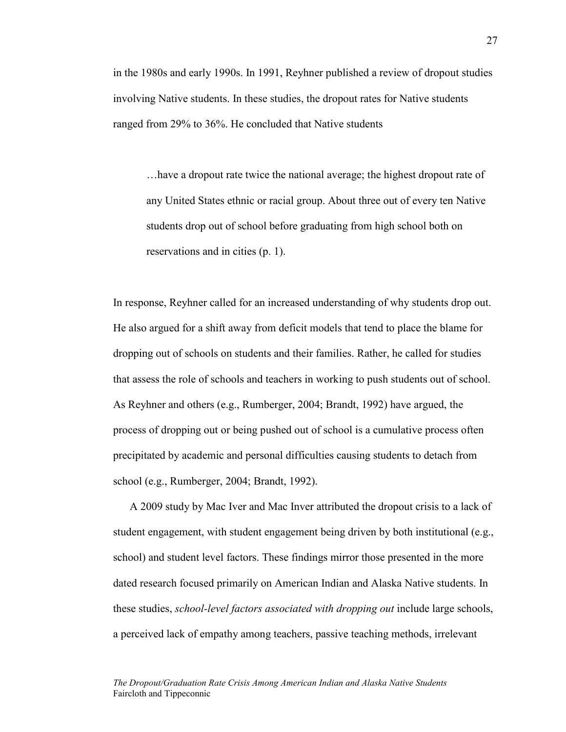in the 1980s and early 1990s. In 1991, Reyhner published a review of dropout studies involving Native students. In these studies, the dropout rates for Native students ranged from 29% to 36%. He concluded that Native students

…have a dropout rate twice the national average; the highest dropout rate of any United States ethnic or racial group. About three out of every ten Native students drop out of school before graduating from high school both on reservations and in cities (p. 1).

In response, Reyhner called for an increased understanding of why students drop out. He also argued for a shift away from deficit models that tend to place the blame for dropping out of schools on students and their families. Rather, he called for studies that assess the role of schools and teachers in working to push students out of school. As Reyhner and others (e.g., Rumberger, 2004; Brandt, 1992) have argued, the process of dropping out or being pushed out of school is a cumulative process often precipitated by academic and personal difficulties causing students to detach from school (e.g., Rumberger, 2004; Brandt, 1992).

A 2009 study by Mac Iver and Mac Inver attributed the dropout crisis to a lack of student engagement, with student engagement being driven by both institutional (e.g., school) and student level factors. These findings mirror those presented in the more dated research focused primarily on American Indian and Alaska Native students. In these studies, *school-level factors associated with dropping out* include large schools, a perceived lack of empathy among teachers, passive teaching methods, irrelevant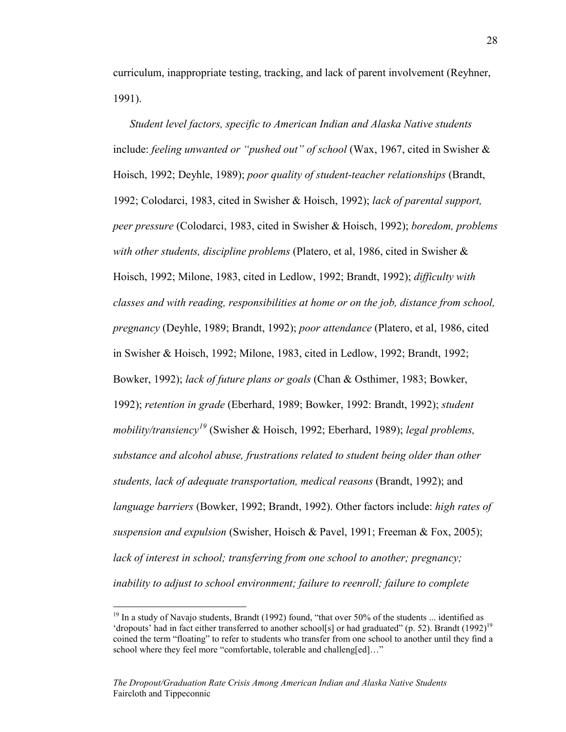curriculum, inappropriate testing, tracking, and lack of parent involvement (Reyhner, 1991).

*Student level factors, specific to American Indian and Alaska Native students* include: *feeling unwanted or "pushed out" of school* (Wax, 1967, cited in Swisher & Hoisch, 1992; Deyhle, 1989); *poor quality of student-teacher relationships* (Brandt, 1992; Colodarci, 1983, cited in Swisher & Hoisch, 1992); *lack of parental support, peer pressure* (Colodarci, 1983, cited in Swisher & Hoisch, 1992); *boredom, problems with other students, discipline problems* (Platero, et al, 1986, cited in Swisher & Hoisch, 1992; Milone, 1983, cited in Ledlow, 1992; Brandt, 1992); *difficulty with classes and with reading, responsibilities at home or on the job, distance from school, pregnancy* (Deyhle, 1989; Brandt, 1992); *poor attendance* (Platero, et al, 1986, cited in Swisher & Hoisch, 1992; Milone, 1983, cited in Ledlow, 1992; Brandt, 1992; Bowker, 1992); *lack of future plans or goals* (Chan & Osthimer, 1983; Bowker, 1992); *retention in grade* (Eberhard, 1989; Bowker, 1992: Brandt, 1992); *student mobility/transiency 19* (Swisher & Hoisch, 1992; Eberhard, 1989); *legal problems, substance and alcohol abuse, frustrations related to student being older than other students, lack of adequate transportation, medical reasons* (Brandt, 1992); and *language barriers* (Bowker, 1992; Brandt, 1992). Other factors include: *high rates of suspension and expulsion* (Swisher, Hoisch & Pavel, 1991; Freeman & Fox, 2005); *lack of interest in school; transferring from one school to another; pregnancy; inability to adjust to school environment; failure to reenroll; failure to complete*

<sup>&</sup>lt;sup>19</sup> In a study of Navajo students, Brandt (1992) found, "that over 50% of the students ... identified as 'dropouts' had in fact either transferred to another school[s] or had graduated" (p. 52). Brandt (1992)<sup>19</sup> coined the term "floating" to refer to students who transfer from one school to another until they find a school where they feel more "comfortable, tolerable and challeng[ed]..."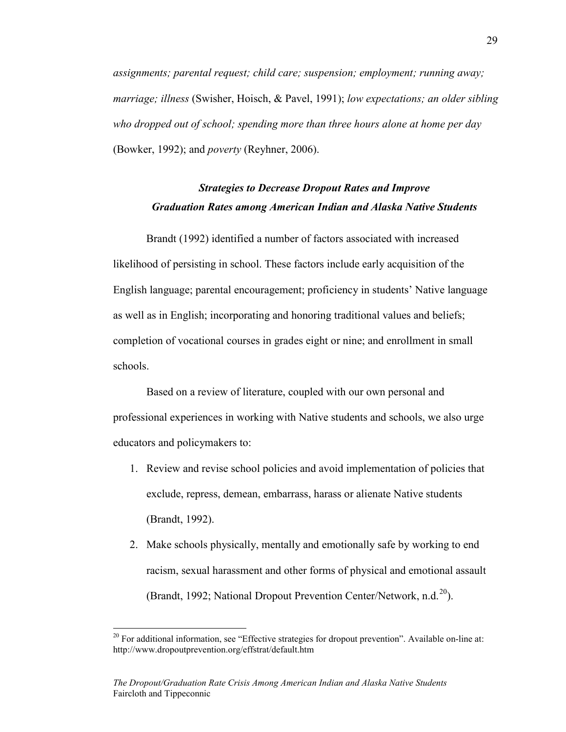*assignments; parental request; child care; suspension; employment; running away; marriage; illness* (Swisher, Hoisch, & Pavel, 1991); *low expectations; an older sibling who dropped out of school; spending more than three hours alone at home per day* (Bowker, 1992); and *poverty* (Reyhner, 2006).

# *Strategies to Decrease Dropout Rates and Improve Graduation Rates among American Indian and Alaska Native Students*

Brandt (1992) identified a number of factors associated with increased likelihood of persisting in school. These factors include early acquisition of the English language; parental encouragement; proficiency in students' Native language as well as in English; incorporating and honoring traditional values and beliefs; completion of vocational courses in grades eight or nine; and enrollment in small schools.

Based on a review of literature, coupled with our own personal and professional experiences in working with Native students and schools, we also urge educators and policymakers to:

- 1. Review and revise school policies and avoid implementation of policies that exclude, repress, demean, embarrass, harass or alienate Native students (Brandt, 1992).
- 2. Make schools physically, mentally and emotionally safe by working to end racism, sexual harassment and other forms of physical and emotional assault (Brandt, 1992; National Dropout Prevention Center/Network, n.d.<sup>20</sup>).

 $^{20}$  For additional information, see "Effective strategies for dropout prevention". Available on-line at: http://www.dropoutprevention.org/effstrat/default.htm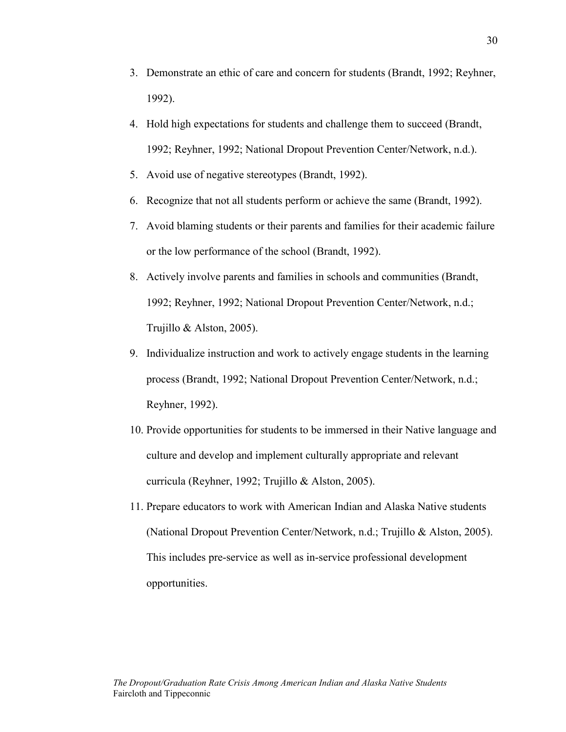- 3. Demonstrate an ethic of care and concern for students (Brandt, 1992; Reyhner, 1992).
- 4. Hold high expectations for students and challenge them to succeed (Brandt, 1992; Reyhner, 1992; National Dropout Prevention Center/Network, n.d.).
- 5. Avoid use of negative stereotypes (Brandt, 1992).
- 6. Recognize that not all students perform or achieve the same (Brandt, 1992).
- 7. Avoid blaming students or their parents and families for their academic failure or the low performance of the school (Brandt, 1992).
- 8. Actively involve parents and families in schools and communities (Brandt, 1992; Reyhner, 1992; National Dropout Prevention Center/Network, n.d.; Trujillo & Alston, 2005).
- 9. Individualize instruction and work to actively engage students in the learning process (Brandt, 1992; National Dropout Prevention Center/Network, n.d.; Reyhner, 1992).
- 10. Provide opportunities for students to be immersed in their Native language and culture and develop and implement culturally appropriate and relevant curricula (Reyhner, 1992; Trujillo & Alston, 2005).
- 11. Prepare educators to work with American Indian and Alaska Native students (National Dropout Prevention Center/Network, n.d.; Trujillo & Alston, 2005). This includes pre-service as well as in-service professional development opportunities.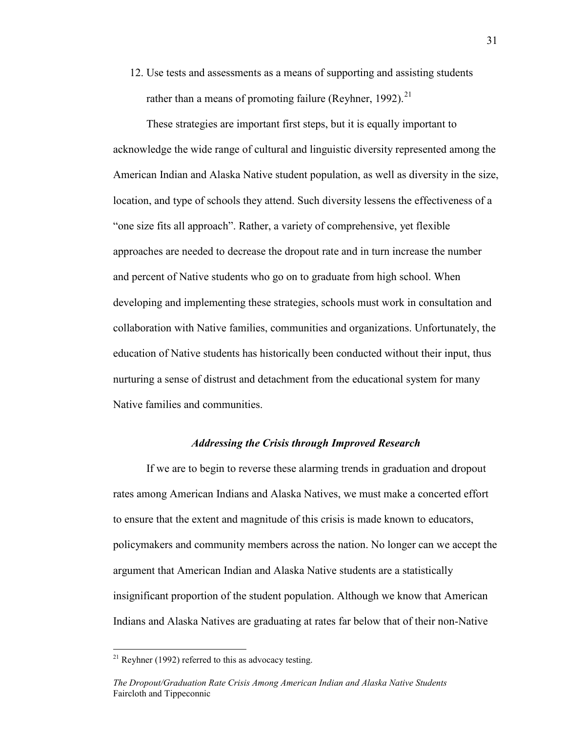12. Use tests and assessments as a means of supporting and assisting students rather than a means of promoting failure (Reyhner, 1992).<sup>21</sup>

These strategies are important first steps, but it is equally important to acknowledge the wide range of cultural and linguistic diversity represented among the American Indian and Alaska Native student population, as well as diversity in the size, location, and type of schools they attend. Such diversity lessens the effectiveness of a "one size fits all approach". Rather, a variety of comprehensive, yet flexible approaches are needed to decrease the dropout rate and in turn increase the number and percent of Native students who go on to graduate from high school. When developing and implementing these strategies, schools must work in consultation and collaboration with Native families, communities and organizations. Unfortunately, the education of Native students has historically been conducted without their input, thus nurturing a sense of distrust and detachment from the educational system for many Native families and communities.

#### *Addressing the Crisis through Improved Research*

If we are to begin to reverse these alarming trends in graduation and dropout rates among American Indians and Alaska Natives, we must make a concerted effort to ensure that the extent and magnitude of this crisis is made known to educators, policymakers and community members across the nation. No longer can we accept the argument that American Indian and Alaska Native students are a statistically insignificant proportion of the student population. Although we know that American Indians and Alaska Natives are graduating at rates far below that of their non-Native

 $21$  Reyhner (1992) referred to this as advocacy testing.

*The Dropout/Graduation Rate Crisis Among American Indian and Alaska Native Students* Faircloth and Tippeconnic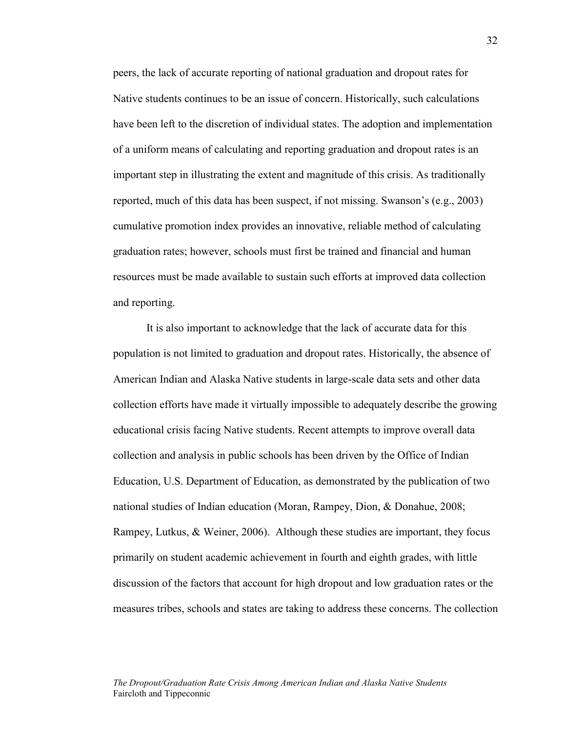peers, the lack of accurate reporting of national graduation and dropout rates for Native students continues to be an issue of concern. Historically, such calculations have been left to the discretion of individual states. The adoption and implementation of a uniform means of calculating and reporting graduation and dropout rates is an important step in illustrating the extent and magnitude of this crisis. As traditionally reported, much of this data has been suspect, if not missing. Swanson's (e.g., 2003) cumulative promotion index provides an innovative, reliable method of calculating graduation rates; however, schools must first be trained and financial and human resources must be made available to sustain such efforts at improved data collection and reporting.

It is also important to acknowledge that the lack of accurate data for this population is not limited to graduation and dropout rates. Historically, the absence of American Indian and Alaska Native students in large-scale data sets and other data collection efforts have made it virtually impossible to adequately describe the growing educational crisis facing Native students. Recent attempts to improve overall data collection and analysis in public schools has been driven by the Office of Indian Education, U.S. Department of Education, as demonstrated by the publication of two national studies of Indian education (Moran, Rampey, Dion, & Donahue, 2008; Rampey, Lutkus, & Weiner, 2006). Although these studies are important, they focus primarily on student academic achievement in fourth and eighth grades, with little discussion of the factors that account for high dropout and low graduation rates or the measures tribes, schools and states are taking to address these concerns. The collection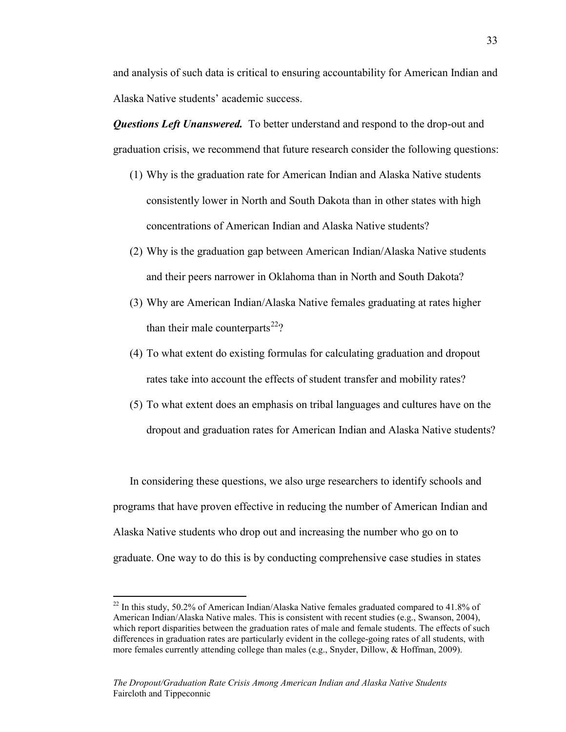and analysis of such data is critical to ensuring accountability for American Indian and Alaska Native students' academic success.

*Questions Left Unanswered.* To better understand and respond to the drop-out and graduation crisis, we recommend that future research consider the following questions:

- (1) Why is the graduation rate for American Indian and Alaska Native students consistently lower in North and South Dakota than in other states with high concentrations of American Indian and Alaska Native students?
- (2) Why is the graduation gap between American Indian/Alaska Native students and their peers narrower in Oklahoma than in North and South Dakota?
- (3) Why are American Indian/Alaska Native females graduating at rates higher than their male counterparts<sup>22</sup>?
- (4) To what extent do existing formulas for calculating graduation and dropout rates take into account the effects of student transfer and mobility rates?
- (5) To what extent does an emphasis on tribal languages and cultures have on the dropout and graduation rates for American Indian and Alaska Native students?

In considering these questions, we also urge researchers to identify schools and programs that have proven effective in reducing the number of American Indian and Alaska Native students who drop out and increasing the number who go on to graduate. One way to do this is by conducting comprehensive case studies in states

 $22$  In this study, 50.2% of American Indian/Alaska Native females graduated compared to 41.8% of American Indian/Alaska Native males. This is consistent with recent studies (e.g., Swanson, 2004), which report disparities between the graduation rates of male and female students. The effects of such differences in graduation rates are particularly evident in the college-going rates of all students, with more females currently attending college than males (e.g., Snyder, Dillow, & Hoffman, 2009).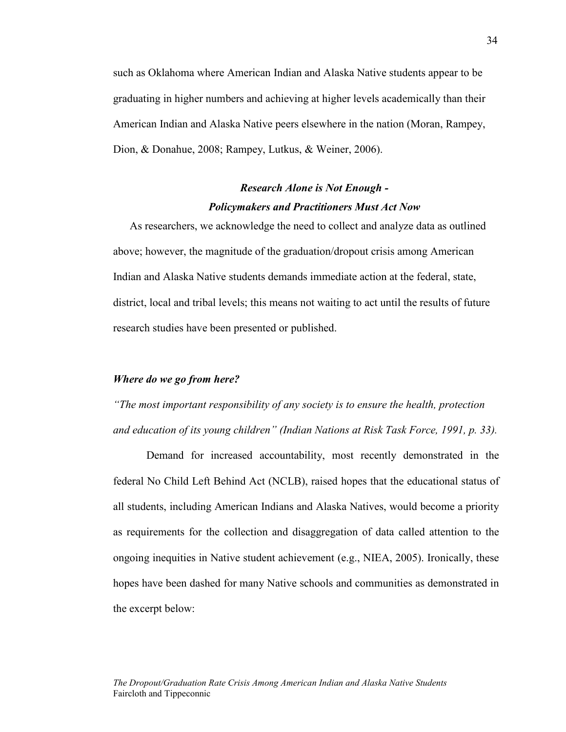such as Oklahoma where American Indian and Alaska Native students appear to be graduating in higher numbers and achieving at higher levels academically than their American Indian and Alaska Native peers elsewhere in the nation (Moran, Rampey, Dion, & Donahue, 2008; Rampey, Lutkus, & Weiner, 2006).

# *Research Alone is Not Enough - Policymakers and Practitioners Must Act Now*

As researchers, we acknowledge the need to collect and analyze data as outlined above; however, the magnitude of the graduation/dropout crisis among American Indian and Alaska Native students demands immediate action at the federal, state, district, local and tribal levels; this means not waiting to act until the results of future research studies have been presented or published.

#### *Where do we go from here?*

*"The most important responsibility of any society is to ensure the health, protection and education of its young children" (Indian Nations at Risk Task Force, 1991, p. 33).*

Demand for increased accountability, most recently demonstrated in the federal No Child Left Behind Act (NCLB), raised hopes that the educational status of all students, including American Indians and Alaska Natives, would become a priority as requirements for the collection and disaggregation of data called attention to the ongoing inequities in Native student achievement (e.g., NIEA, 2005). Ironically, these hopes have been dashed for many Native schools and communities as demonstrated in the excerpt below: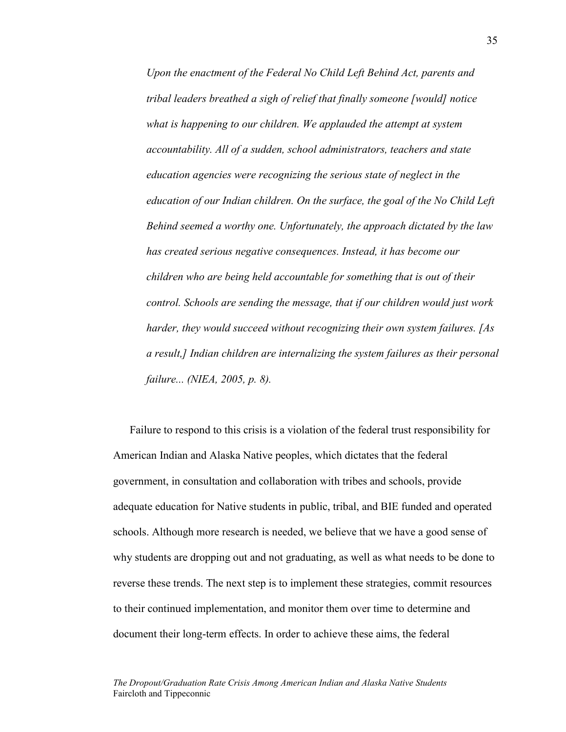*Upon the enactment of the Federal No Child Left Behind Act, parents and tribal leaders breathed a sigh of relief that finally someone [would] notice what is happening to our children. We applauded the attempt at system accountability. All of a sudden, school administrators, teachers and state education agencies were recognizing the serious state of neglect in the education of our Indian children. On the surface, the goal of the No Child Left Behind seemed a worthy one. Unfortunately, the approach dictated by the law has created serious negative consequences. Instead, it has become our children who are being held accountable for something that is out of their control. Schools are sending the message, that if our children would just work harder, they would succeed without recognizing their own system failures. [As a result,] Indian children are internalizing the system failures as their personal failure... (NIEA, 2005, p. 8).* 

Failure to respond to this crisis is a violation of the federal trust responsibility for American Indian and Alaska Native peoples, which dictates that the federal government, in consultation and collaboration with tribes and schools, provide adequate education for Native students in public, tribal, and BIE funded and operated schools. Although more research is needed, we believe that we have a good sense of why students are dropping out and not graduating, as well as what needs to be done to reverse these trends. The next step is to implement these strategies, commit resources to their continued implementation, and monitor them over time to determine and document their long-term effects. In order to achieve these aims, the federal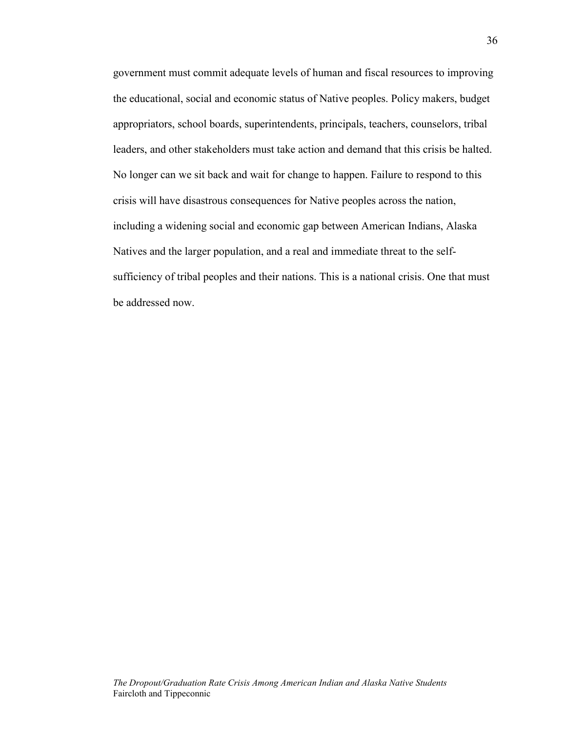government must commit adequate levels of human and fiscal resources to improving the educational, social and economic status of Native peoples. Policy makers, budget appropriators, school boards, superintendents, principals, teachers, counselors, tribal leaders, and other stakeholders must take action and demand that this crisis be halted. No longer can we sit back and wait for change to happen. Failure to respond to this crisis will have disastrous consequences for Native peoples across the nation, including a widening social and economic gap between American Indians, Alaska Natives and the larger population, and a real and immediate threat to the selfsufficiency of tribal peoples and their nations. This is a national crisis. One that must be addressed now.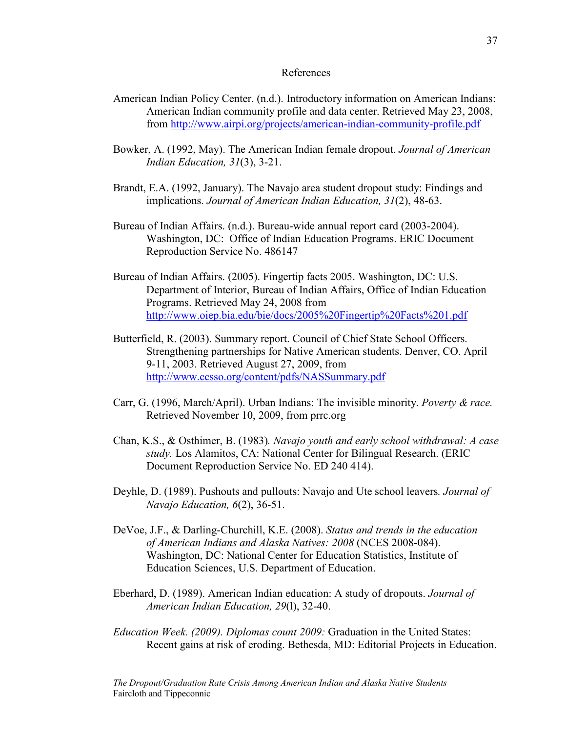#### References

- American Indian Policy Center. (n.d.). Introductory information on American Indians: American Indian community profile and data center. Retrieved May 23, 2008, from [http://www.airpi.org/projects/american-indian-community-profile.pdf](http://www.airpi.org/projects/american-indian-community-profile.pdf%00)
- Bowker, A. (1992, May). The American Indian female dropout. *Journal of American Indian Education, 31*(3), 3-21.
- Brandt, E.A. (1992, January). The Navajo area student dropout study: Findings and implications. *Journal of American Indian Education, 31*(2), 48-63.
- Bureau of Indian Affairs. (n.d.). Bureau-wide annual report card (2003-2004). Washington, DC: Office of Indian Education Programs. ERIC Document Reproduction Service No. 486147
- Bureau of Indian Affairs. (2005). Fingertip facts 2005. Washington, DC: U.S. Department of Interior, Bureau of Indian Affairs, Office of Indian Education Programs. Retrieved May 24, 2008 from [http://www.oiep.bia.edu/bie/docs/2005%20Fingertip%20Facts%201.pdf](http://www.oiep.bia.edu/bie/docs/2005%20Fingertip%20Facts%201.pdf%00)
- Butterfield, R. (2003). Summary report. Council of Chief State School Officers. Strengthening partnerships for Native American students. Denver, CO. April 9-11, 2003. Retrieved August 27, 2009, from [http://www.ccsso.org/content/pdfs/NASSummary.pdf](http://www.ccsso.org/content/pdfs/NASSummary.pdf%00)
- Carr, G. (1996, March/April). Urban Indians: The invisible minority. *Poverty & race.*  Retrieved November 10, 2009, from prrc.org
- Chan, K.S., & Osthimer, B. (1983)*. Navajo youth and early school withdrawal: A case study.* Los Alamitos, CA: National Center for Bilingual Research. (ERIC Document Reproduction Service No. ED 240 414).
- Deyhle, D. (1989). Pushouts and pullouts: Navajo and Ute school leavers*. Journal of Navajo Education, 6*(2), 36-51.
- DeVoe, J.F., & Darling-Churchill, K.E. (2008). *Status and trends in the education of American Indians and Alaska Natives: 2008* (NCES 2008-084). Washington, DC: National Center for Education Statistics, Institute of Education Sciences, U.S. Department of Education.
- Eberhard, D. (1989). American Indian education: A study of dropouts. *Journal of American Indian Education, 29*(l), 32-40.
- *Education Week. (2009). Diplomas count 2009:* Graduation in the United States: Recent gains at risk of eroding. Bethesda, MD: Editorial Projects in Education.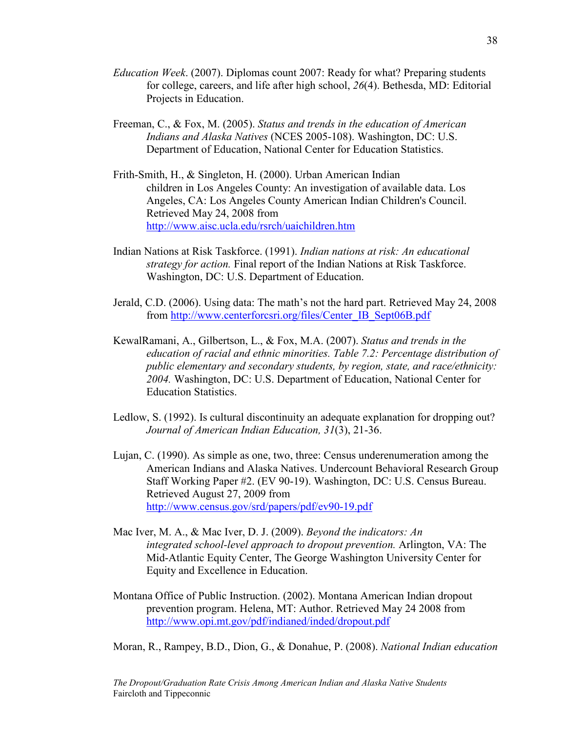- *Education Week*. (2007). Diplomas count 2007: Ready for what? Preparing students for college, careers, and life after high school, *26*(4). Bethesda, MD: Editorial Projects in Education.
- Freeman, C., & Fox, M. (2005). *Status and trends in the education of American Indians and Alaska Natives* (NCES 2005-108). Washington, DC: U.S. Department of Education, National Center for Education Statistics.
- Frith-Smith, H., & Singleton, H. (2000). Urban American Indian children in Los Angeles County: An investigation of available data. Los Angeles, CA: Los Angeles County American Indian Children's Council. Retrieved May 24, 2008 from [http://www.aisc.ucla.edu/rsrch/uaichildren.htm](http://www.aisc.ucla.edu/rsrch/uaichildren.htm%00)
- Indian Nations at Risk Taskforce. (1991). *Indian nations at risk: An educational strategy for action.* Final report of the Indian Nations at Risk Taskforce. Washington, DC: U.S. Department of Education.
- Jerald, C.D. (2006). Using data: The math's not the hard part. Retrieved May 24, 2008 from [http://www.centerforcsri.org/files/Center\\_IB\\_Sept06B.pdf](http://www.centerforcsri.org/files/Center_IB_Sept06B.pdf%00)
- KewalRamani, A., Gilbertson, L., & Fox, M.A. (2007). *Status and trends in the education of racial and ethnic minorities. Table 7.2: Percentage distribution of public elementary and secondary students, by region, state, and race/ethnicity: 2004.* Washington, DC: U.S. Department of Education, National Center for Education Statistics.
- Ledlow, S. (1992). Is cultural discontinuity an adequate explanation for dropping out? *Journal of American Indian Education, 31*(3), 21-36.
- Lujan, C. (1990). As simple as one, two, three: Census underenumeration among the American Indians and Alaska Natives. Undercount Behavioral Research Group Staff Working Paper #2. (EV 90-19). Washington, DC: U.S. Census Bureau. Retrieved August 27, 2009 from [http://www.census.gov/srd/papers/pdf/ev90-19.pdf](http://www.census.gov/srd/papers/pdf/ev90-19.pdf%00)
- Mac Iver, M. A., & Mac Iver, D. J. (2009). *Beyond the indicators: An integrated school-level approach to dropout prevention.* Arlington, VA: The Mid-Atlantic Equity Center, The George Washington University Center for Equity and Excellence in Education.
- Montana Office of Public Instruction. (2002). Montana American Indian dropout prevention program. Helena, MT: Author. Retrieved May 24 2008 from [http://www.opi.mt.gov/pdf/indianed/inded/dropout.pdf](http://www.opi.mt.gov/pdf/indianed/inded/dropout.pdf%00)

Moran, R., Rampey, B.D., Dion, G., & Donahue, P. (2008). *National Indian education*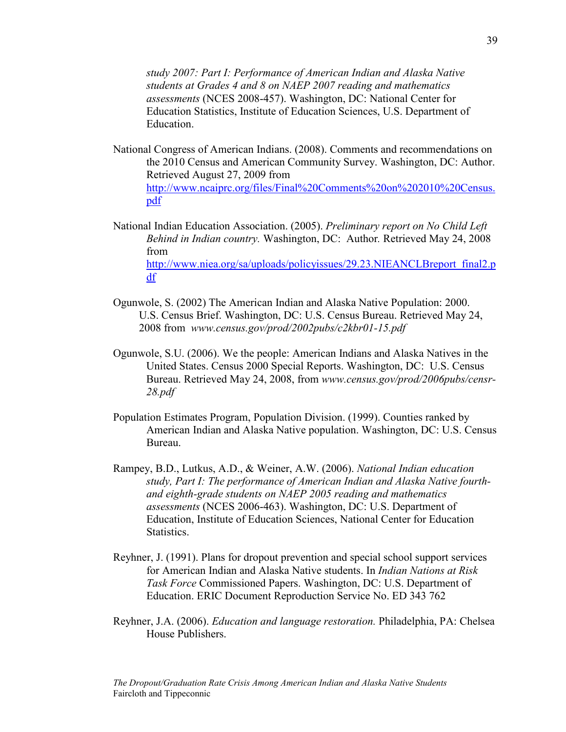*study 2007: Part I: Performance of American Indian and Alaska Native students at Grades 4 and 8 on NAEP 2007 reading and mathematics assessments* (NCES 2008-457). Washington, DC: National Center for Education Statistics, Institute of Education Sciences, U.S. Department of Education.

- National Congress of American Indians. (2008). Comments and recommendations on the 2010 Census and American Community Survey. Washington, DC: Author. Retrieved August 27, 2009 from [http://www.ncaiprc.org/files/Final%20Comments%20on%202010%20Census.](http://www.ncaiprc.org/files/Final%20Comments%20on%202010%20Census.pdf%00) [pdf](http://www.ncaiprc.org/files/Final%20Comments%20on%202010%20Census.pdf%00)
- National Indian Education Association. (2005). *Preliminary report on No Child Left Behind in Indian country.* Washington, DC: Author*.* Retrieved May 24, 2008 from [http://www.niea.org/sa/uploads/policyissues/29.23.NIEANCLBreport\\_final2.p](http://www.niea.org/sa/uploads/policyissues/29.23.NIEANCLBreport_final2.pdf%00) [df](http://www.niea.org/sa/uploads/policyissues/29.23.NIEANCLBreport_final2.pdf%00)
- Ogunwole, S. (2002) The American Indian and Alaska Native Population: 2000. U.S. Census Brief. Washington, DC: U.S. Census Bureau. Retrieved May 24, 2008 from *www.census.gov/prod/2002pubs/c2kbr01-15.pdf*
- Ogunwole, S.U. (2006). We the people: American Indians and Alaska Natives in the United States. Census 2000 Special Reports. Washington, DC: U.S. Census Bureau. Retrieved May 24, 2008, from *www.census.gov/prod/2006pubs/censr-28.pdf*
- Population Estimates Program, Population Division. (1999). Counties ranked by American Indian and Alaska Native population. Washington, DC: U.S. Census Bureau.
- Rampey, B.D., Lutkus, A.D., & Weiner, A.W. (2006). *National Indian education study, Part I: The performance of American Indian and Alaska Native fourthand eighth-grade students on NAEP 2005 reading and mathematics assessments* (NCES 2006-463). Washington, DC: U.S. Department of Education, Institute of Education Sciences, National Center for Education Statistics.
- Reyhner, J. (1991). Plans for dropout prevention and special school support services for American Indian and Alaska Native students. In *Indian Nations at Risk Task Force* Commissioned Papers. Washington, DC: U.S. Department of Education. ERIC Document Reproduction Service No. ED 343 762
- Reyhner, J.A. (2006). *Education and language restoration.* Philadelphia, PA: Chelsea House Publishers.